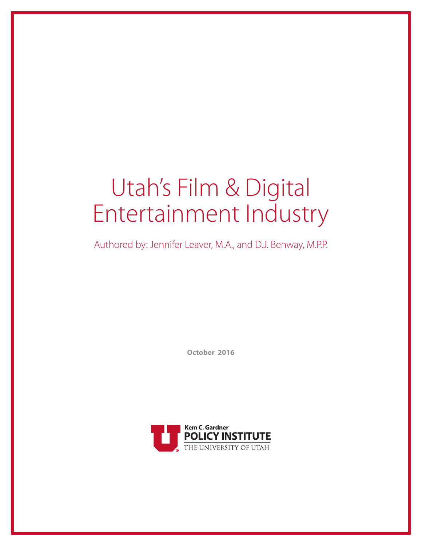# Utah's Film & Digital Entertainment Industry

Authored by: Jennifer Leaver, M.A., and D.J. Benway, M.P.P.

**October 2016**

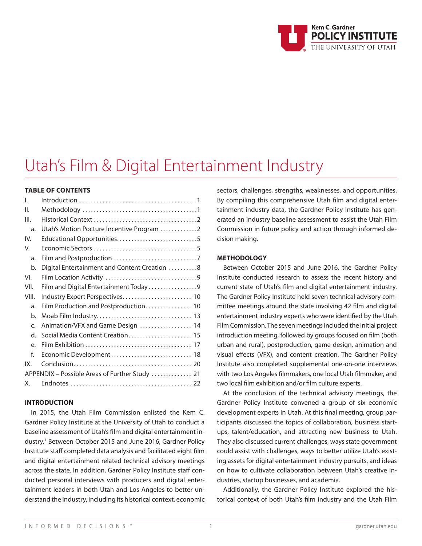

# Utah's Film & Digital Entertainment Industry

# **TABLE OF CONTENTS**

| Utah's Motion Pocture Incentive Program 2      |
|------------------------------------------------|
|                                                |
|                                                |
|                                                |
| Digital Entertainment and Content Creation 8   |
|                                                |
| Film and Digital Entertainment Today 9         |
|                                                |
|                                                |
|                                                |
| Animation/VFX and Game Design  14              |
| Social Media Content Creation 15               |
|                                                |
| Economic Development 18                        |
|                                                |
| APPENDIX - Possible Areas of Further Study  21 |
|                                                |
|                                                |

#### **INTRODUCTION**

In 2015, the Utah Film Commission enlisted the Kem C. Gardner Policy Institute at the University of Utah to conduct a baseline assessment of Utah's film and digital entertainment industry.1 Between October 2015 and June 2016, Gardner Policy Institute staff completed data analysis and facilitated eight film and digital entertainment related technical advisory meetings across the state. In addition, Gardner Policy Institute staff conducted personal interviews with producers and digital entertainment leaders in both Utah and Los Angeles to better understand the industry, including its historical context, economic

sectors, challenges, strengths, weaknesses, and opportunities. By compiling this comprehensive Utah film and digital entertainment industry data, the Gardner Policy Institute has generated an industry baseline assessment to assist the Utah Film Commission in future policy and action through informed decision making.

#### **METHODOLOGY**

Between October 2015 and June 2016, the Gardner Policy Institute conducted research to assess the recent history and current state of Utah's film and digital entertainment industry. The Gardner Policy Institute held seven technical advisory committee meetings around the state involving 42 film and digital entertainment industry experts who were identified by the Utah Film Commission. The seven meetings included the initial project introduction meeting, followed by groups focused on film (both urban and rural), postproduction, game design, animation and visual effects (VFX), and content creation. The Gardner Policy Institute also completed supplemental one-on-one interviews with two Los Angeles filmmakers, one local Utah filmmaker, and two local film exhibition and/or film culture experts.

At the conclusion of the technical advisory meetings, the Gardner Policy Institute convened a group of six economic development experts in Utah. At this final meeting, group participants discussed the topics of collaboration, business startups, talent/education, and attracting new business to Utah. They also discussed current challenges, ways state government could assist with challenges, ways to better utilize Utah's existing assets for digital entertainment industry pursuits, and ideas on how to cultivate collaboration between Utah's creative industries, startup businesses, and academia.

Additionally, the Gardner Policy Institute explored the historical context of both Utah's film industry and the Utah Film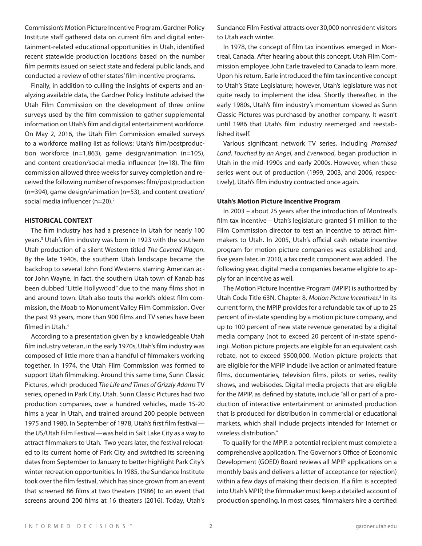Commission's Motion Picture Incentive Program. Gardner Policy Institute staff gathered data on current film and digital entertainment-related educational opportunities in Utah, identified recent statewide production locations based on the number film permits issued on select state and federal public lands, and conducted a review of other states' film incentive programs.

Finally, in addition to culling the insights of experts and analyzing available data, the Gardner Policy Institute advised the Utah Film Commission on the development of three online surveys used by the film commission to gather supplemental information on Utah's film and digital entertainment workforce. On May 2, 2016, the Utah Film Commission emailed surveys to a workforce mailing list as follows: Utah's film/postproduction workforce (n=1,863), game design/animation (n=105), and content creation/social media influencer (n=18). The film commission allowed three weeks for survey completion and received the following number of responses: film/postproduction (n=394), game design/animation (n=53), and content creation/ social media influencer (n=20).<sup>2</sup>

#### **HISTORICAL CONTEXT**

The film industry has had a presence in Utah for nearly 100 years.3 Utah's film industry was born in 1923 with the southern Utah production of a silent Western titled *The Covered Wagon*. By the late 1940s, the southern Utah landscape became the backdrop to several John Ford Westerns starring American actor John Wayne. In fact, the southern Utah town of Kanab has been dubbed "Little Hollywood" due to the many films shot in and around town. Utah also touts the world's oldest film commission, the Moab to Monument Valley Film Commission. Over the past 93 years, more than 900 films and TV series have been filmed in Utah.<sup>4</sup>

According to a presentation given by a knowledgeable Utah film industry veteran, in the early 1970s, Utah's film industry was composed of little more than a handful of filmmakers working together. In 1974, the Utah Film Commission was formed to support Utah filmmaking. Around this same time, Sunn Classic Pictures, which produced *The Life and Times of Grizzly Adams* TV series, opened in Park City, Utah. Sunn Classic Pictures had two production companies, over a hundred vehicles, made 15-20 films a year in Utah, and trained around 200 people between 1975 and 1980. In September of 1978, Utah's first film festival the US/Utah Film Festival—was held in Salt Lake City as a way to attract filmmakers to Utah. Two years later, the festival relocated to its current home of Park City and switched its screening dates from September to January to better highlight Park City's winter recreation opportunities. In 1985, the Sundance Institute took over the film festival, which has since grown from an event that screened 86 films at two theaters (1986) to an event that screens around 200 films at 16 theaters (2016). Today, Utah's

Sundance Film Festival attracts over 30,000 nonresident visitors to Utah each winter.

In 1978, the concept of film tax incentives emerged in Montreal, Canada. After hearing about this concept, Utah Film Commission employee John Earle traveled to Canada to learn more. Upon his return, Earle introduced the film tax incentive concept to Utah's State Legislature; however, Utah's legislature was not quite ready to implement the idea. Shortly thereafter, in the early 1980s, Utah's film industry's momentum slowed as Sunn Classic Pictures was purchased by another company. It wasn't until 1986 that Utah's film industry reemerged and reestablished itself.

Various significant network TV series, including *Promised Land, Touched by an Angel*, and *Everwood*, began production in Utah in the mid-1990s and early 2000s. However, when these series went out of production (1999, 2003, and 2006, respectively), Utah's film industry contracted once again.

#### **Utah's Motion Picture Incentive Program**

In 2003 – about 25 years after the introduction of Montreal's film tax incentive – Utah's legislature granted \$1 million to the Film Commission director to test an incentive to attract filmmakers to Utah. In 2005, Utah's official cash rebate incentive program for motion picture companies was established and, five years later, in 2010, a tax credit component was added. The following year, digital media companies became eligible to apply for an incentive as well.

The Motion Picture Incentive Program (MPIP) is authorized by Utah Code Title 63N, Chapter 8, *Motion Picture Incentives*. 5 In its current form, the MPIP provides for a refundable tax of up to 25 percent of in-state spending by a motion picture company, and up to 100 percent of new state revenue generated by a digital media company (not to exceed 20 percent of in-state spending). Motion picture projects are eligible for an equivalent cash rebate, not to exceed \$500,000. Motion picture projects that are eligible for the MPIP include live action or animated feature films, documentaries, television films, pilots or series, reality shows, and webisodes. Digital media projects that are eligible for the MPIP, as defined by statute, include "all or part of a production of interactive entertainment or animated production that is produced for distribution in commercial or educational markets, which shall include projects intended for Internet or wireless distribution."

To qualify for the MPIP, a potential recipient must complete a comprehensive application. The Governor's Office of Economic Development (GOED) Board reviews all MPIP applications on a monthly basis and delivers a letter of acceptance (or rejection) within a few days of making their decision. If a film is accepted into Utah's MPIP, the filmmaker must keep a detailed account of production spending. In most cases, filmmakers hire a certified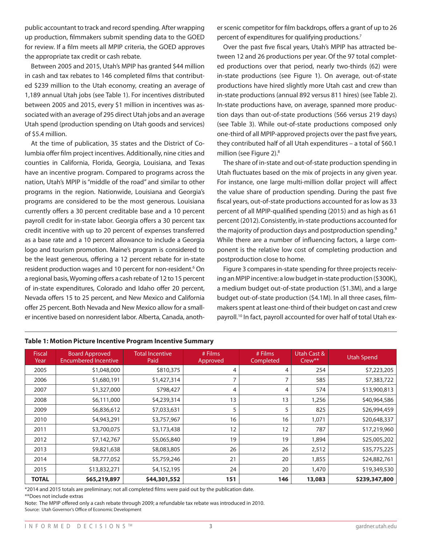public accountant to track and record spending. After wrapping up production, filmmakers submit spending data to the GOED for review. If a film meets all MPIP criteria, the GOED approves the appropriate tax credit or cash rebate.

Between 2005 and 2015, Utah's MPIP has granted \$44 million in cash and tax rebates to 146 completed films that contributed \$239 million to the Utah economy, creating an average of 1,189 annual Utah jobs (see Table 1). For incentives distributed between 2005 and 2015, every \$1 million in incentives was associated with an average of 295 direct Utah jobs and an average Utah spend (production spending on Utah goods and services) of \$5.4 million.

At the time of publication, 35 states and the District of Columbia offer film project incentives. Additionally, nine cities and counties in California, Florida, Georgia, Louisiana, and Texas have an incentive program. Compared to programs across the nation, Utah's MPIP is "middle of the road" and similar to other programs in the region. Nationwide, Louisiana and Georgia's programs are considered to be the most generous. Louisiana currently offers a 30 percent creditable base and a 10 percent payroll credit for in-state labor. Georgia offers a 30 percent tax credit incentive with up to 20 percent of expenses transferred as a base rate and a 10 percent allowance to include a Georgia logo and tourism promotion. Maine's program is considered to be the least generous, offering a 12 percent rebate for in-state resident production wages and 10 percent for non-resident.<sup>6</sup> On a regional basis, Wyoming offers a cash rebate of 12 to 15 percent of in-state expenditures, Colorado and Idaho offer 20 percent, Nevada offers 15 to 25 percent, and New Mexico and California offer 25 percent. Both Nevada and New Mexico allow for a smaller incentive based on nonresident labor. Alberta, Canada, another scenic competitor for film backdrops, offers a grant of up to 26 percent of expenditures for qualifying productions.<sup>7</sup>

Over the past five fiscal years, Utah's MPIP has attracted between 12 and 26 productions per year. Of the 97 total completed productions over that period, nearly two-thirds (62) were in-state productions (see Figure 1). On average, out-of-state productions have hired slightly more Utah cast and crew than in-state productions (annual 892 versus 811 hires) (see Table 2). In-state productions have, on average, spanned more production days than out-of-state productions (566 versus 219 days) (see Table 3). While out-of-state productions composed only one-third of all MPIP-approved projects over the past five years, they contributed half of all Utah expenditures – a total of \$60.1 million (see Figure 2).8

The share of in-state and out-of-state production spending in Utah fluctuates based on the mix of projects in any given year. For instance, one large multi-million dollar project will affect the value share of production spending. During the past five fiscal years, out-of-state productions accounted for as low as 33 percent of all MPIP-qualified spending (2015) and as high as 61 percent (2012).Consistently, in-state productions accounted for the majority of production days and postproduction spending.<sup>9</sup> While there are a number of influencing factors, a large component is the relative low cost of completing production and postproduction close to home.

Figure 3 compares in-state spending for three projects receiving an MPIP incentive: a low budget in-state production (\$300K), a medium budget out-of-state production (\$1.3M), and a large budget out-of-state production (\$4.1M). In all three cases, filmmakers spent at least one-third of their budget on cast and crew payroll.10 In fact, payroll accounted for over half of total Utah ex-

| <b>Fiscal</b><br>Year | <b>Board Approved</b><br><b>Encumbered Incentive</b> | <b>Total Incentive</b><br>Paid | # Films<br>Approved | # Films<br>Completed | Utah Cast &<br>$Crew**$ | <b>Utah Spend</b> |
|-----------------------|------------------------------------------------------|--------------------------------|---------------------|----------------------|-------------------------|-------------------|
| 2005                  | \$1,048,000                                          | \$810,375                      | 4                   | 4                    | 254                     | \$7,223,205       |
| 2006                  | \$1,680,191                                          | \$1,427,314                    | 7                   |                      | 585                     | \$7,383,722       |
| 2007                  | \$1,327,000                                          | \$798,427                      | 4                   | 4                    | 574                     | \$13,900,813      |
| 2008                  | \$6,111,000                                          | \$4,239,314                    | 13                  | 13                   | 1,256                   | \$40,964,586      |
| 2009                  | \$6,836,612                                          | \$7,033,631                    | 5                   | 5                    | 825                     | \$26,994,459      |
| 2010                  | \$4,943,291                                          | \$3,757,967                    | 16                  | 16                   | 1,071                   | \$20,648,337      |
| 2011                  | \$3,700,075                                          | \$3,173,438                    | 12                  | 12                   | 787                     | \$17,219,960      |
| 2012                  | \$7,142,767                                          | \$5,065,840                    | 19                  | 19                   | 1,894                   | \$25,005,202      |
| 2013                  | \$9,821,638                                          | \$8,083,805                    | 26                  | 26                   | 2,512                   | \$35,775,225      |
| 2014                  | \$8,777,052                                          | \$5,759,246                    | 21                  | 20                   | 1,855                   | \$24,882,761      |
| 2015                  | \$13,832,271                                         | \$4,152,195                    | 24                  | 20                   | 1,470                   | \$19,349,530      |
| <b>TOTAL</b>          | \$65,219,897                                         | \$44,301,552                   | 151                 | 146                  | 13,083                  | \$239,347,800     |

#### **Table 1: Motion Picture Incentive Program Incentive Summary**

\*2014 and 2015 totals are preliminary; not all completed films were paid out by the publication date.

\*\*Does not include extras

Note: The MPIP offered only a cash rebate through 2009; a refundable tax rebate was introduced in 2010. Source: Utah Governor's Office of Economic Development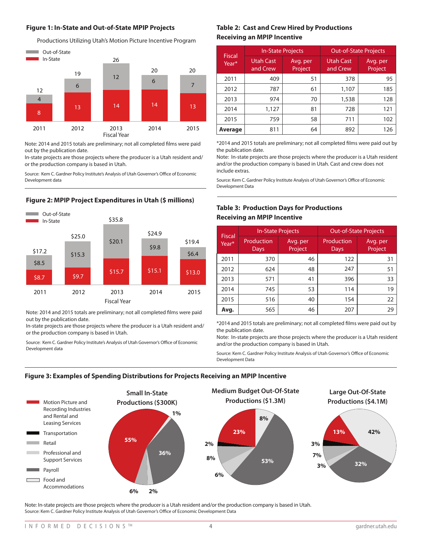#### **Figure 1: In-State and Out-of-State MPIP Projects**



Note: 2014 and 2015 totals are preliminary; not all completed films were paid out by the publication date.

In-state projects are those projects where the producer is a Utah resident and/ or the production company is based in Utah.

r Policy Institute's Analysis of  $\cdots$ Source: Kem C. Gardner Policy Institute's Analysis of Utah Governor's Office of Economic<br>Development data Development data

2013

# lure.

\$15.3

2012

\$17.2

2011<br>2011 - Paul Barnett, amerikanischer Politiker<br>2011 - Paul Barnett, amerikanischer Politiker († 1911)



Note: 2014 and 2015 totals are preliminary; not all completed films were paid out by the publication date.

In-state projects are those projects where the producer is a Utah resident and/ or the production company is based in Utah.

Source: Kem C. Gardner Policy Institute's Analysis of Utah Governor's Office of Economic Development data

# **Table 2: Cast and Crew Hired by Productions Receiving an MPIP Incentive**

| <b>Fiscal</b> |                              | <b>In-State Projects</b> |                              | <b>Out-of-State Projects</b> |
|---------------|------------------------------|--------------------------|------------------------------|------------------------------|
| Year*         | <b>Utah Cast</b><br>and Crew | Avg. per<br>Project      | <b>Utah Cast</b><br>and Crew | Avg. per<br>Project          |
| 2011          | 409                          | 51                       | 378                          | 95                           |
| 2012          | 787                          | 61                       | 1,107                        | 185                          |
| 2013          | 974                          | 70                       | 1,538                        | 128                          |
| 2014          | 1,127                        | 81                       | 728                          | 121                          |
| 2015          | 759                          | 58                       | 711                          | 102                          |
| Average       | 811                          | 64                       | 892                          | 126                          |

\*2014 and 2015 totals are preliminary; not all completed films were paid out by the publication date.

Note: In-state projects are those projects where the producer is a Utah resident and/or the production company is based in Utah. Cast and crew does not include extras.

Source: Kem C. Gardner Policy Institute Analysis of Utah Governor's Office of Economic Development Data

# **Table 3: Production Days for Productions Receiving an MPIP Incentive**

| <b>Fiscal</b> | <b>In-State Projects</b> |                     |                    | <b>Out-of-State Projects</b> |
|---------------|--------------------------|---------------------|--------------------|------------------------------|
| Year*         | Production<br>Days       | Avg. per<br>Project | Production<br>Days | Avg. per<br>Project          |
| 2011          | 370                      | 46                  | 122                | 31                           |
| 2012          | 624                      | 48                  | 247                | 51                           |
| 2013          | 571                      | 41                  | 396                | 33                           |
| 2014          | 745                      | 53                  | 114                | 19                           |
| 2015          | 516                      | 40                  | 154                | 22                           |
| Avg.          | 565                      | 46                  | 207                | 29                           |

\*2014 and 2015 totals are preliminary; not all completed films were paid out by the publication date.

Note: In-state projects are those projects where the producer is a Utah resident and/or the production company is based in Utah.

Source: Kem C. Gardner Policy Institute Analysis of Utah Governor's Office of Economic Development Data

# **Figure 3: Examples of Spending Distributions for Projects Receiving an MPIP Incentive**

2014



\$6.4

2015<br>2015 - 2015 - 2015 - 2015 - 2015 - 2015<br>2015 - 2015 - 2015 - 2015 - 2015 - 2015 - 2015 - 2015 - 2015 - 2015 - 2015 - 2015 - 2015 - 2015 - 2015 - 2015

Note: In-state projects are those projects where the producer is a Utah resident and/or the production company is based in Utah. Source: Kem C. Gardner Policy Institute Analysis of Utah Governor's Office of Economic Development Data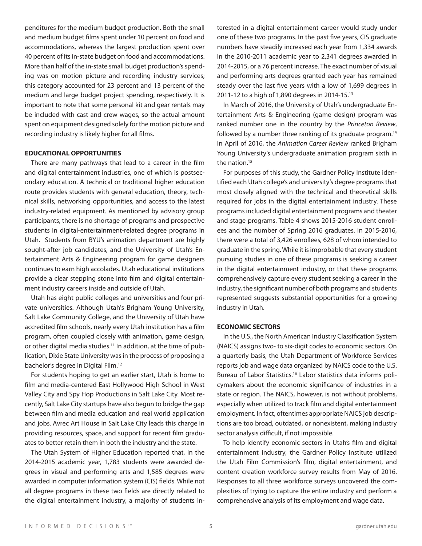penditures for the medium budget production. Both the small and medium budget films spent under 10 percent on food and accommodations, whereas the largest production spent over 40 percent of its in-state budget on food and accommodations. More than half of the in-state small budget production's spending was on motion picture and recording industry services; this category accounted for 23 percent and 13 percent of the medium and large budget project spending, respectively. It is important to note that some personal kit and gear rentals may be included with cast and crew wages, so the actual amount spent on equipment designed solely for the motion picture and recording industry is likely higher for all films.

#### **EDUCATIONAL OPPORTUNITIES**

There are many pathways that lead to a career in the film and digital entertainment industries, one of which is postsecondary education. A technical or traditional higher education route provides students with general education, theory, technical skills, networking opportunities, and access to the latest industry-related equipment. As mentioned by advisory group participants, there is no shortage of programs and prospective students in digital-entertainment-related degree programs in Utah. Students from BYU's animation department are highly sought-after job candidates, and the University of Utah's Entertainment Arts & Engineering program for game designers continues to earn high accolades. Utah educational institutions provide a clear stepping stone into film and digital entertainment industry careers inside and outside of Utah.

Utah has eight public colleges and universities and four private universities. Although Utah's Brigham Young University, Salt Lake Community College, and the University of Utah have accredited film schools, nearly every Utah institution has a film program, often coupled closely with animation, game design, or other digital media studies.<sup>11</sup> In addition, at the time of publication, Dixie State University was in the process of proposing a bachelor's degree in Digital Film.12

For students hoping to get an earlier start, Utah is home to film and media-centered East Hollywood High School in West Valley City and Spy Hop Productions in Salt Lake City. Most recently, Salt Lake City startups have also begun to bridge the gap between film and media education and real world application and jobs. Avrec Art House in Salt Lake City leads this charge in providing resources, space, and support for recent film graduates to better retain them in both the industry and the state.

The Utah System of Higher Education reported that, in the 2014-2015 academic year, 1,783 students were awarded degrees in visual and performing arts and 1,585 degrees were awarded in computer information system (CIS) fields. While not all degree programs in these two fields are directly related to the digital entertainment industry, a majority of students interested in a digital entertainment career would study under one of these two programs. In the past five years, CIS graduate numbers have steadily increased each year from 1,334 awards in the 2010-2011 academic year to 2,341 degrees awarded in 2014-2015, or a 76 percent increase. The exact number of visual and performing arts degrees granted each year has remained steady over the last five years with a low of 1,699 degrees in 2011-12 to a high of 1,890 degrees in 2014-15.13

In March of 2016, the University of Utah's undergraduate Entertainment Arts & Engineering (game design) program was ranked number one in the country by the *Princeton Review*, followed by a number three ranking of its graduate program.<sup>14</sup> In April of 2016, the *Animation Career Review* ranked Brigham Young University's undergraduate animation program sixth in the nation.<sup>15</sup>

For purposes of this study, the Gardner Policy Institute identified each Utah college's and university's degree programs that most closely aligned with the technical and theoretical skills required for jobs in the digital entertainment industry. These programs included digital entertainment programs and theater and stage programs. Table 4 shows 2015-2016 student enrollees and the number of Spring 2016 graduates. In 2015-2016, there were a total of 3,426 enrollees, 628 of whom intended to graduate in the spring. While it is improbable that every student pursuing studies in one of these programs is seeking a career in the digital entertainment industry, or that these programs comprehensively capture every student seeking a career in the industry, the significant number of both programs and students represented suggests substantial opportunities for a growing industry in Utah.

#### **ECONOMIC SECTORS**

In the U.S., the North American Industry Classification System (NAICS) assigns two- to six-digit codes to economic sectors. On a quarterly basis, the Utah Department of Workforce Services reports job and wage data organized by NAICS code to the U.S. Bureau of Labor Statistics.16 Labor statistics data informs policymakers about the economic significance of industries in a state or region. The NAICS, however, is not without problems, especially when utilized to track film and digital entertainment employment. In fact, oftentimes appropriate NAICS job descriptions are too broad, outdated, or nonexistent, making industry sector analysis difficult, if not impossible.

To help identify economic sectors in Utah's film and digital entertainment industry, the Gardner Policy Institute utilized the Utah Film Commission's film, digital entertainment, and content creation workforce survey results from May of 2016. Responses to all three workforce surveys uncovered the complexities of trying to capture the entire industry and perform a comprehensive analysis of its employment and wage data.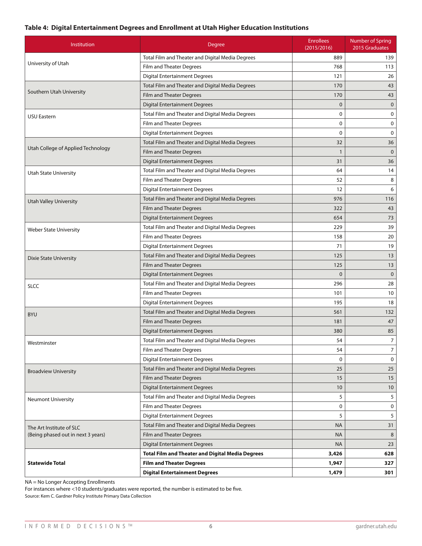# **Table 4: Digital Entertainment Degrees and Enrollment at Utah Higher Education Institutions**

| Institution                        | Degree                                                  | <b>Enrollees</b><br>(2015/2016) | <b>Number of Spring</b><br>2015 Graduates |
|------------------------------------|---------------------------------------------------------|---------------------------------|-------------------------------------------|
|                                    | Total Film and Theater and Digital Media Degrees        | 889                             | 139                                       |
| University of Utah                 | Film and Theater Degrees                                | 768                             | 113                                       |
|                                    | <b>Digital Entertainment Degrees</b>                    | 121                             | 26                                        |
|                                    | Total Film and Theater and Digital Media Degrees        | 170                             | 43                                        |
| Southern Utah University           | Film and Theater Degrees                                | 170                             | 43                                        |
|                                    | <b>Digital Entertainment Degrees</b>                    | $\mathbf 0$                     | $\mathbf 0$                               |
| <b>USU Eastern</b>                 | Total Film and Theater and Digital Media Degrees        | 0                               | 0                                         |
|                                    | Film and Theater Degrees                                | $\mathbf 0$                     | 0                                         |
|                                    | <b>Digital Entertainment Degrees</b>                    | $\mathbf 0$                     | $\mathbf 0$                               |
|                                    | Total Film and Theater and Digital Media Degrees        | 32                              | 36                                        |
| Utah College of Applied Technology | Film and Theater Degrees                                | $\mathbf{1}$                    | $\mathbf{0}$                              |
|                                    | <b>Digital Entertainment Degrees</b>                    | 31                              | 36                                        |
| <b>Utah State University</b>       | Total Film and Theater and Digital Media Degrees        | 64                              | 14                                        |
|                                    | Film and Theater Degrees                                | 52                              | 8                                         |
|                                    | <b>Digital Entertainment Degrees</b>                    | 12                              | 6                                         |
| <b>Utah Valley University</b>      | Total Film and Theater and Digital Media Degrees        | 976                             | 116                                       |
|                                    | Film and Theater Degrees                                | 322                             | 43                                        |
|                                    | <b>Digital Entertainment Degrees</b>                    | 654                             | 73                                        |
| <b>Weber State University</b>      | Total Film and Theater and Digital Media Degrees        | 229                             | 39                                        |
|                                    | Film and Theater Degrees                                | 158                             | 20                                        |
|                                    | <b>Digital Entertainment Degrees</b>                    | 71                              | 19                                        |
| <b>Dixie State University</b>      | Total Film and Theater and Digital Media Degrees        | 125                             | 13                                        |
|                                    | Film and Theater Degrees                                | 125                             | 13                                        |
|                                    | <b>Digital Entertainment Degrees</b>                    | $\mathbf 0$                     | $\mathbf{0}$                              |
| SLCC                               | Total Film and Theater and Digital Media Degrees        | 296                             | 28                                        |
|                                    | Film and Theater Degrees                                | 101                             | 10                                        |
|                                    | <b>Digital Entertainment Degrees</b>                    | 195                             | 18                                        |
| <b>BYU</b>                         | Total Film and Theater and Digital Media Degrees        | 561                             | 132                                       |
|                                    | <b>Film and Theater Degrees</b>                         | 181                             | 47                                        |
|                                    | <b>Digital Entertainment Degrees</b>                    | 380                             | 85                                        |
| Westminster                        | Total Film and Theater and Digital Media Degrees        | 54                              | $\overline{7}$                            |
|                                    | Film and Theater Degrees                                | 54                              | $\overline{7}$                            |
|                                    | <b>Digital Entertainment Degrees</b>                    | 0                               | $\mathbf 0$                               |
| <b>Broadview University</b>        | Total Film and Theater and Digital Media Degrees        | 25                              | 25                                        |
|                                    | Film and Theater Degrees                                | 15                              | 15                                        |
|                                    | <b>Digital Entertainment Degrees</b>                    | 10 <sup>°</sup>                 | 10                                        |
| <b>Neumont University</b>          | Total Film and Theater and Digital Media Degrees        | 5                               | 5                                         |
|                                    | Film and Theater Degrees                                | 0                               | 0                                         |
|                                    | <b>Digital Entertainment Degrees</b>                    | 5                               | 5                                         |
| The Art Institute of SLC           | Total Film and Theater and Digital Media Degrees        | <b>NA</b>                       | 31                                        |
| (Being phased out in next 3 years) | Film and Theater Degrees                                | <b>NA</b>                       | 8                                         |
|                                    | <b>Digital Entertainment Degrees</b>                    | NA                              | 23                                        |
|                                    | <b>Total Film and Theater and Digital Media Degrees</b> | 3,426                           | 628                                       |
| <b>Statewide Total</b>             | <b>Film and Theater Degrees</b>                         | 1,947                           | 327                                       |
|                                    | <b>Digital Entertainment Degrees</b>                    | 1,479                           | 301                                       |

NA = No Longer Accepting Enrollments

For instances where <10 students/graduates were reported, the number is estimated to be five. Source: Kem C. Gardner Policy Institute Primary Data Collection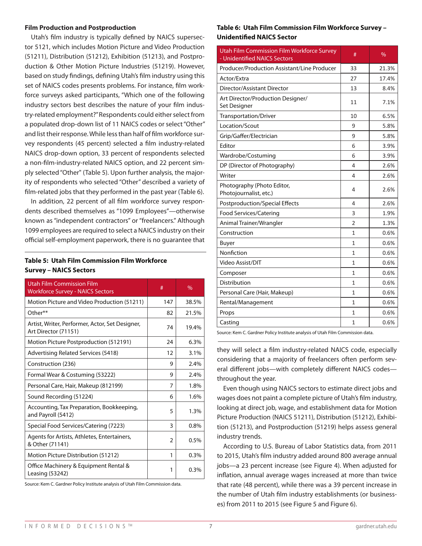#### **Film Production and Postproduction**

Utah's film industry is typically defined by NAICS supersector 5121, which includes Motion Picture and Video Production (51211), Distribution (51212), Exhibition (51213), and Postproduction & Other Motion Picture Industries (51219). However, based on study findings, defining Utah's film industry using this set of NAICS codes presents problems. For instance, film workforce surveys asked participants, "Which one of the following industry sectors best describes the nature of your film industry-related employment?" Respondents could either select from a populated drop-down list of 11 NAICS codes or select "Other" and list their response. While less than half of film workforce survey respondents (45 percent) selected a film industry-related NAICS drop-down option, 33 percent of respondents selected a non-film-industry-related NAICS option, and 22 percent simply selected "Other" (Table 5). Upon further analysis, the majority of respondents who selected "Other" described a variety of film-related jobs that they performed in the past year (Table 6).

In addition, 22 percent of all film workforce survey respondents described themselves as "1099 Employees"—otherwise known as "independent contractors" or "freelancers." Although 1099 employees are required to select a NAICS industry on their official self-employment paperwork, there is no guarantee that

# **Table 5: Utah Film Commission Film Workforce Survey – NAICS Sectors**

| Utah Film Commission Film<br><b>Workforce Survey - NAICS Sectors</b>    | #             | $\%$    |
|-------------------------------------------------------------------------|---------------|---------|
| Motion Picture and Video Production (51211)                             | 147           | 38.5%   |
| Other**                                                                 | 82            | 21.5%   |
| Artist, Writer, Performer, Actor, Set Designer,<br>Art Director (71151) | 74            | 19.4%   |
| Motion Picture Postproduction (512191)                                  | 24            | 6.3%    |
| <b>Advertising Related Services (5418)</b>                              | 12            | 3.1%    |
| Construction (236)                                                      | 9             | 2.4%    |
| Formal Wear & Costuming (53222)                                         | 9             | 2.4%    |
| Personal Care, Hair, Makeup (812199)                                    | 7             | 1.8%    |
| Sound Recording (51224)                                                 | 6             | 1.6%    |
| Accounting, Tax Preparation, Bookkeeping,<br>and Payroll (5412)         | 5             | 1.3%    |
| Special Food Services/Catering (7223)                                   | 3             | 0.8%    |
| Agents for Artists, Athletes, Entertainers,<br>& Other (71141)          | $\mathcal{P}$ | 0.5%    |
| Motion Picture Distribution (51212)                                     | 1             | 0.3%    |
| Office Machinery & Equipment Rental &<br>Leasing (53242)                | 1             | $0.3\%$ |

Source: Kem C. Gardner Policy Institute analysis of Utah Film Commission data.

# **Table 6: Utah Film Commission Film Workforce Survey – Unidentified NAICS Sector**

| <b>Utah Film Commission Film Workforce Survey</b><br>- Unidentified NAICS Sectors | #              | $\frac{0}{0}$ |
|-----------------------------------------------------------------------------------|----------------|---------------|
| Producer/Production Assistant/Line Producer                                       | 33             | 21.3%         |
| Actor/Extra                                                                       | 27             | 17.4%         |
| Director/Assistant Director                                                       | 13             | 8.4%          |
| Art Director/Production Designer/<br>Set Designer                                 | 11             | 7.1%          |
| Transportation/Driver                                                             | 10             | 6.5%          |
| Location/Scout                                                                    | 9              | 5.8%          |
| Grip/Gaffer/Electrician                                                           | 9              | 5.8%          |
| Editor                                                                            | 6              | 3.9%          |
| Wardrobe/Costuming                                                                | 6              | 3.9%          |
| DP (Director of Photography)                                                      | 4              | 2.6%          |
| Writer                                                                            | 4              | 2.6%          |
| Photography (Photo Editor,<br>Photojournalist, etc.)                              | 4              | 2.6%          |
| <b>Postproduction/Special Effects</b>                                             | 4              | 2.6%          |
| Food Services/Catering                                                            | 3              | 1.9%          |
| Animal Trainer/Wrangler                                                           | $\mathfrak{p}$ | 1.3%          |
| Construction                                                                      | 1              | 0.6%          |
| Buyer                                                                             | $\mathbf{1}$   | 0.6%          |
| Nonfiction                                                                        | 1              | 0.6%          |
| Video Assist/DIT                                                                  | 1              | 0.6%          |
| Composer                                                                          | $\mathbf{1}$   | 0.6%          |
| Distribution                                                                      | 1              | 0.6%          |
| Personal Care (Hair, Makeup)                                                      | 1              | 0.6%          |
| Rental/Management                                                                 | 1              | 0.6%          |
| Props                                                                             | 1              | 0.6%          |
| Casting                                                                           | 1              | 0.6%          |

Source: Kem C. Gardner Policy Institute analysis of Utah Film Commission data.

they will select a film industry-related NAICS code, especially considering that a majority of freelancers often perform several different jobs—with completely different NAICS codes throughout the year.

Even though using NAICS sectors to estimate direct jobs and wages does not paint a complete picture of Utah's film industry, looking at direct job, wage, and establishment data for Motion Picture Production (NAICS 51211), Distribution (51212), Exhibition (51213), and Postproduction (51219) helps assess general industry trends.

According to U.S. Bureau of Labor Statistics data, from 2011 to 2015, Utah's film industry added around 800 average annual jobs—a 23 percent increase (see Figure 4). When adjusted for inflation, annual average wages increased at more than twice that rate (48 percent), while there was a 39 percent increase in the number of Utah film industry establishments (or businesses) from 2011 to 2015 (see Figure 5 and Figure 6).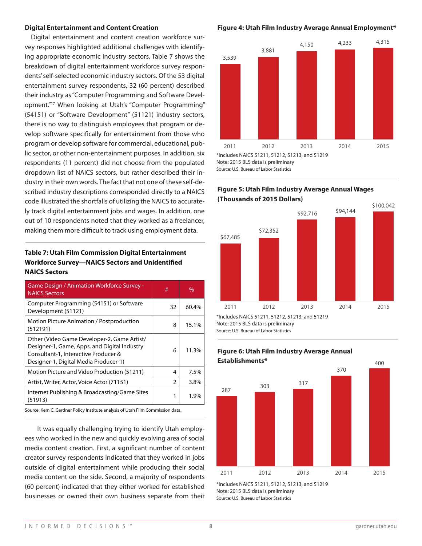#### **Digital Entertainment and Content Creation**

Digital entertainment and content creation workforce survey responses highlighted additional challenges with identifying appropriate economic industry sectors. Table 7 shows the breakdown of digital entertainment workforce survey respondents' self-selected economic industry sectors. Of the 53 digital entertainment survey respondents, 32 (60 percent) described their industry as "Computer Programming and Software Development."17 When looking at Utah's "Computer Programming" (54151) or "Software Development" (51121) industry sectors, there is no way to distinguish employees that program or develop software specifically for entertainment from those who program or develop software for commercial, educational, public sector, or other non-entertainment purposes. In addition, six respondents (11 percent) did not choose from the populated dropdown list of NAICS sectors, but rather described their industry in their own words. The fact that not one of these self-described industry descriptions corresponded directly to a NAICS code illustrated the shortfalls of utilizing the NAICS to accurately track digital entertainment jobs and wages. In addition, one out of 10 respondents noted that they worked as a freelancer, making them more difficult to track using employment data.

# **Table 7: Utah Film Commission Digital Entertainment Workforce Survey—NAICS Sectors and Unidentified NAICS Sectors**

| $\%$  |
|-------|
| 60.4% |
| 15.1% |
| 11.3% |
| 7.5%  |
| 3.8%  |
| 1.9%  |
|       |

ardner Policy Institute analysis of Utah Film Commission data.

It was equally challenging trying to identify Utah employees who worked in the new and quickly evolving area of social media content creation. First, a significant number of content creator survey respondents indicated that they worked in jobs outside of digital entertainment while producing their social media content on the side. Second, a majority of respondents (60 percent) indicated that they either worked for established businesses or owned their own business separate from their

#### **Figure 4: Utah Film Industry Average Annual Employment\***



Source: U.S. Bureau of Labor Statistics

# \$92,716 \$94,144 **Figure 5: Utah Film Industry Average Annual Wages (Thousands of 2015 Dollars)**

2011 2012 2013 2014 2015



370

Note: 2015 BLS data is preliminary

Source: U.S. Bureau of Labor Statistics



# 287 **Establishments\*** <sup>303</sup> <sup>317</sup> **Figure 6: Utah Film Industry Average Annual**

\*Includes NAICS 51211, 51212, 51213, and 51219 Note: 2015 BLS data is preliminary Source: U.S. Bureau of Labor Statistics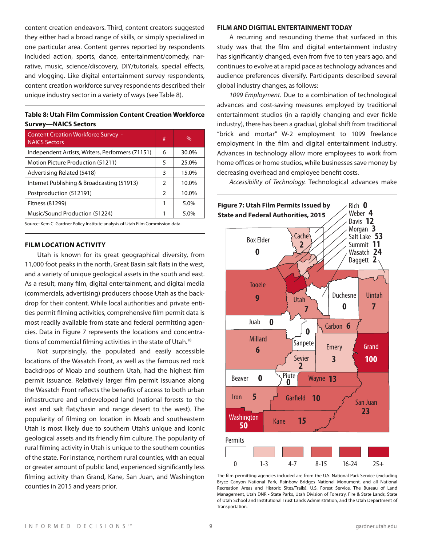content creation endeavors. Third, content creators suggested they either had a broad range of skills, or simply specialized in one particular area. Content genres reported by respondents included action, sports, dance, entertainment/comedy, narrative, music, science/discovery, DIY/tutorials, special effects, and vlogging. Like digital entertainment survey respondents, content creation workforce survey respondents described their unique industry sector in a variety of ways (see Table 8).

# **Table 8: Utah Film Commission Content Creation Workforce Survey—NAICS Sectors**

| <b>Content Creation Workforce Survey -</b><br><b>NAICS Sectors</b> | # | $\%$  |
|--------------------------------------------------------------------|---|-------|
| Independent Artists, Writers, Performers (71151)                   | 6 | 30.0% |
| Motion Picture Production (51211)                                  | 5 | 25.0% |
| Advertising Related (5418)                                         | 3 | 15.0% |
| Internet Publishing & Broadcasting (51913)                         | 2 | 10.0% |
| Postproduction (512191)                                            | 2 | 10.0% |
| Fitness (81299)                                                    |   | 5.0%  |
| Music/Sound Production (51224)                                     |   | 5.0%  |

Source: Kem C. Gardner Policy Institute analysis of Utah Film Commission data.

#### **FILM LOCATION ACTIVITY**

Utah is known for its great geographical diversity, from 11,000 foot peaks in the north, Great Basin salt flats in the west, and a variety of unique geological assets in the south and east. As a result, many film, digital entertainment, and digital media (commercials, advertising) producers choose Utah as the backdrop for their content. While local authorities and private entities permit filming activities, comprehensive film permit data is most readily available from state and federal permitting agencies. Data in Figure 7 represents the locations and concentrations of commercial filming activities in the state of Utah.<sup>18</sup>

Not surprisingly, the populated and easily accessible locations of the Wasatch Front, as well as the famous red rock backdrops of Moab and southern Utah, had the highest film permit issuance. Relatively larger film permit issuance along the Wasatch Front reflects the benefits of access to both urban infrastructure and undeveloped land (national forests to the east and salt flats/basin and range desert to the west). The popularity of filming on location in Moab and southeastern Utah is most likely due to southern Utah's unique and iconic geological assets and its friendly film culture. The popularity of rural filming activity in Utah is unique to the southern counties of the state. For instance, northern rural counties, with an equal or greater amount of public land, experienced significantly less filming activity than Grand, Kane, San Juan, and Washington counties in 2015 and years prior.

#### **FILM AND DIGITIAL ENTERTAINMENT TODAY**

A recurring and resounding theme that surfaced in this study was that the film and digital entertainment industry has significantly changed, even from five to ten years ago, and continues to evolve at a rapid pace as technology advances and audience preferences diversify. Participants described several global industry changes, as follows:

*1099 Employment.* Due to a combination of technological advances and cost-saving measures employed by traditional entertainment studios (in a rapidly changing and ever fickle industry), there has been a gradual, global shift from traditional "brick and mortar" W-2 employment to 1099 freelance employment in the film and digital entertainment industry. Advances in technology allow more employees to work from home offices or home studios, while businesses save money by decreasing overhead and employee benefit costs.

*Accessibility of Technology.* Technological advances make



The film permitting agencies included are from the U.S. National Park Service (excluding Bryce Canyon National Park, Rainbow Bridges National Monument, and all National Recreation Areas and Historic Sites/Trails), U.S. Forest Service, The Bureau of Land Management, Utah DNR - State Parks, Utah Division of Forestry, Fire & State Lands, State of Utah School and Institutional Trust Lands Administration, and the Utah Department of **Transportation**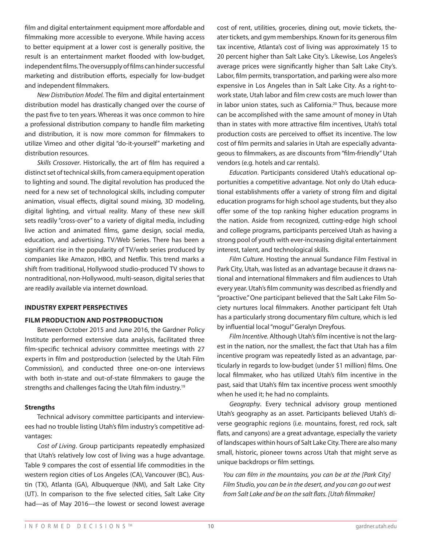film and digital entertainment equipment more affordable and filmmaking more accessible to everyone. While having access to better equipment at a lower cost is generally positive, the result is an entertainment market flooded with low-budget, independent films. The oversupply of films can hinder successful marketing and distribution efforts, especially for low-budget and independent filmmakers.

*New Distribution Model.* The film and digital entertainment distribution model has drastically changed over the course of the past five to ten years. Whereas it was once common to hire a professional distribution company to handle film marketing and distribution, it is now more common for filmmakers to utilize Vimeo and other digital "do-it-yourself" marketing and distribution resources.

*Skills Crossover*. Historically, the art of film has required a distinct set of technical skills, from camera equipment operation to lighting and sound. The digital revolution has produced the need for a new set of technological skills, including computer animation, visual effects, digital sound mixing, 3D modeling, digital lighting, and virtual reality. Many of these new skill sets readily "cross-over" to a variety of digital media, including live action and animated films, game design, social media, education, and advertising. TV/Web Series. There has been a significant rise in the popularity of TV/web series produced by companies like Amazon, HBO, and Netflix. This trend marks a shift from traditional, Hollywood studio-produced TV shows to nontraditional, non-Hollywood, multi-season, digital series that are readily available via internet download.

#### **INDUSTRY EXPERT PERSPECTIVES**

#### **FILM PRODUCTION AND POSTPRODUCTION**

Between October 2015 and June 2016, the Gardner Policy Institute performed extensive data analysis, facilitated three film-specific technical advisory committee meetings with 27 experts in film and postproduction (selected by the Utah Film Commission), and conducted three one-on-one interviews with both in-state and out-of-state filmmakers to gauge the strengths and challenges facing the Utah film industry.<sup>19</sup>

#### **Strengths**

Technical advisory committee participants and interviewees had no trouble listing Utah's film industry's competitive advantages:

*Cost of Living*. Group participants repeatedly emphasized that Utah's relatively low cost of living was a huge advantage. Table 9 compares the cost of essential life commodities in the western region cities of Los Angeles (CA), Vancouver (BC), Austin (TX), Atlanta (GA), Albuquerque (NM), and Salt Lake City (UT). In comparison to the five selected cities, Salt Lake City had—as of May 2016—the lowest or second lowest average

cost of rent, utilities, groceries, dining out, movie tickets, theater tickets, and gym memberships. Known for its generous film tax incentive, Atlanta's cost of living was approximately 15 to 20 percent higher than Salt Lake City's. Likewise, Los Angeles's average prices were significantly higher than Salt Lake City's. Labor, film permits, transportation, and parking were also more expensive in Los Angeles than in Salt Lake City. As a right-towork state, Utah labor and film crew costs are much lower than in labor union states, such as California.<sup>20</sup> Thus, because more can be accomplished with the same amount of money in Utah than in states with more attractive film incentives, Utah's total production costs are perceived to offset its incentive. The low cost of film permits and salaries in Utah are especially advantageous to filmmakers, as are discounts from "film-friendly" Utah vendors (e.g. hotels and car rentals).

*Education*. Participants considered Utah's educational opportunities a competitive advantage. Not only do Utah educational establishments offer a variety of strong film and digital education programs for high school age students, but they also offer some of the top ranking higher education programs in the nation. Aside from recognized, cutting-edge high school and college programs, participants perceived Utah as having a strong pool of youth with ever-increasing digital entertainment interest, talent, and technological skills.

*Film Culture.* Hosting the annual Sundance Film Festival in Park City, Utah, was listed as an advantage because it draws national and international filmmakers and film audiences to Utah every year. Utah's film community was described as friendly and "proactive." One participant believed that the Salt Lake Film Society nurtures local filmmakers. Another participant felt Utah has a particularly strong documentary film culture, which is led by influential local "mogul" Geralyn Dreyfous.

*Film Incentive.* Although Utah's film incentive is not the largest in the nation, nor the smallest, the fact that Utah has a film incentive program was repeatedly listed as an advantage, particularly in regards to low-budget (under \$1 million) films. One local filmmaker, who has utilized Utah's film incentive in the past, said that Utah's film tax incentive process went smoothly when he used it; he had no complaints.

*Geography*. Every technical advisory group mentioned Utah's geography as an asset. Participants believed Utah's diverse geographic regions (i.e. mountains, forest, red rock, salt flats, and canyons) are a great advantage, especially the variety of landscapes within hours of Salt Lake City. There are also many small, historic, pioneer towns across Utah that might serve as unique backdrops or film settings.

*You can film in the mountains, you can be at the [Park City] Film Studio, you can be in the desert, and you can go out west from Salt Lake and be on the salt flats. [Utah filmmaker]*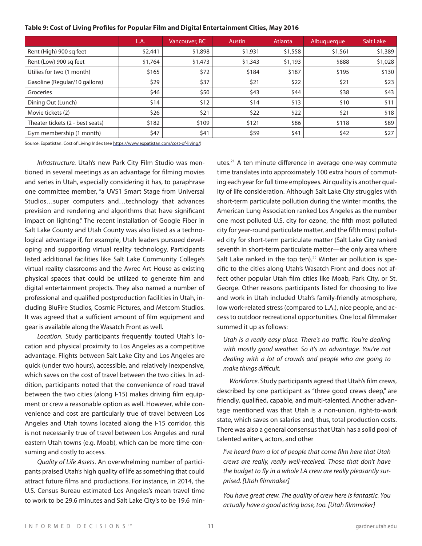|                                  | L.A.    | Vancouver, BC | <b>Austin</b> | Atlanta | Albuquerque | Salt Lake |
|----------------------------------|---------|---------------|---------------|---------|-------------|-----------|
| Rent (High) 900 sq feet          | \$2,441 | \$1,898       | \$1,931       | \$1,558 | \$1,561     | \$1,389   |
| Rent (Low) 900 sq feet           | \$1,764 | \$1,473       | \$1,343       | \$1,193 | \$888       | \$1,028   |
| Utilies for two (1 month)        | \$165   | \$72          | \$184         | \$187   | \$195       | \$130     |
| Gasoline (Regular/10 gallons)    | \$29    | \$37          | \$21          | \$22    | \$21        | \$23      |
| Groceries                        | \$46    | \$50          | \$43          | \$44    | \$38        | \$43      |
| Dining Out (Lunch)               | \$14    | \$12          | \$14          | \$13    | \$10        | \$11      |
| Movie tickets (2)                | \$26    | \$21          | \$22          | \$22    | \$21        | \$18      |
| Theater tickets (2 - best seats) | \$182   | \$109         | \$121         | \$86    | \$118       | \$89      |
| Gym membership (1 month)         | \$47    | \$41          | \$59          | \$41    | \$42        | \$27      |

#### **Table 9: Cost of Living Profiles for Popular Film and Digital Entertainment Cities, May 2016**

Source: Expatistan: Cost of Living Index (see https://www.expatistan.com/cost-of-living/)

*Infrastructure.* Utah's new Park City Film Studio was mentioned in several meetings as an advantage for filming movies and series in Utah, especially considering it has, to paraphrase one committee member, "a UVS1 Smart Stage from Universal Studios…super computers and…technology that advances prevision and rendering and algorithms that have significant impact on lighting." The recent installation of Google Fiber in Salt Lake County and Utah County was also listed as a technological advantage if, for example, Utah leaders pursued developing and supporting virtual reality technology. Participants listed additional facilities like Salt Lake Community College's virtual reality classrooms and the Avrec Art House as existing physical spaces that could be utilized to generate film and digital entertainment projects. They also named a number of professional and qualified postproduction facilities in Utah, including BluFire Studios, Cosmic Pictures, and Metcom Studios. It was agreed that a sufficient amount of film equipment and gear is available along the Wasatch Front as well.

*Location.* Study participants frequently touted Utah's location and physical proximity to Los Angeles as a competitive advantage. Flights between Salt Lake City and Los Angeles are quick (under two hours), accessible, and relatively inexpensive, which saves on the cost of travel between the two cities. In addition, participants noted that the convenience of road travel between the two cities (along I-15) makes driving film equipment or crew a reasonable option as well. However, while convenience and cost are particularly true of travel between Los Angeles and Utah towns located along the I-15 corridor, this is not necessarily true of travel between Los Angeles and rural eastern Utah towns (e.g. Moab), which can be more time-consuming and costly to access.

*Quality of Life Assets*. An overwhelming number of participants praised Utah's high quality of life as something that could attract future films and productions. For instance, in 2014, the U.S. Census Bureau estimated Los Angeles's mean travel time to work to be 29.6 minutes and Salt Lake City's to be 19.6 minutes.21 A ten minute difference in average one-way commute time translates into approximately 100 extra hours of commuting each year for full time employees. Air quality is another quality of life consideration. Although Salt Lake City struggles with short-term particulate pollution during the winter months, the American Lung Association ranked Los Angeles as the number one most polluted U.S. city for ozone, the fifth most polluted city for year-round particulate matter, and the fifth most polluted city for short-term particulate matter (Salt Lake City ranked seventh in short-term particulate matter—the only area where Salt Lake ranked in the top ten).<sup>22</sup> Winter air pollution is specific to the cities along Utah's Wasatch Front and does not affect other popular Utah film cities like Moab, Park City, or St. George. Other reasons participants listed for choosing to live and work in Utah included Utah's family-friendly atmosphere, low work-related stress (compared to L.A.), nice people, and access to outdoor recreational opportunities. One local filmmaker summed it up as follows:

*Utah is a really easy place. There's no traffic. You're dealing with mostly good weather. So it's an advantage. You're not dealing with a lot of crowds and people who are going to make things difficult.* 

*Workforce*. Study participants agreed that Utah's film crews, described by one participant as "three good crews deep," are friendly, qualified, capable, and multi-talented. Another advantage mentioned was that Utah is a non-union, right-to-work state, which saves on salaries and, thus, total production costs. There was also a general consensus that Utah has a solid pool of talented writers, actors, and other

*I've heard from a lot of people that come film here that Utah crews are really, really well-received. Those that don't have the budget to fly in a whole LA crew are really pleasantly surprised. [Utah filmmaker]*

*You have great crew. The quality of crew here is fantastic. You actually have a good acting base, too. [Utah filmmaker]*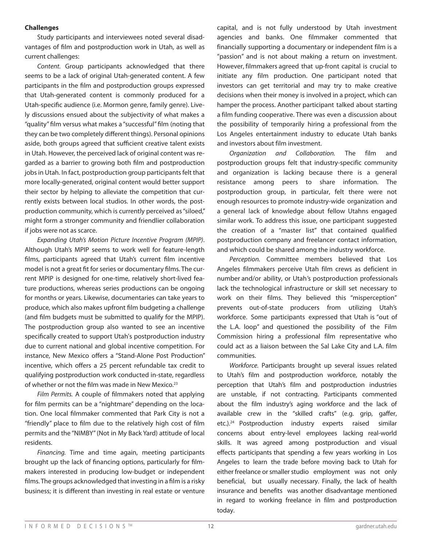#### **Challenges**

Study participants and interviewees noted several disadvantages of film and postproduction work in Utah, as well as current challenges:

*Content.* Group participants acknowledged that there seems to be a lack of original Utah-generated content. A few participants in the film and postproduction groups expressed that Utah-generated content is commonly produced for a Utah-specific audience (i.e. Mormon genre, family genre). Lively discussions ensued about the subjectivity of what makes a "quality" film versus what makes a "successful" film (noting that they can be two completely different things). Personal opinions aside, both groups agreed that sufficient creative talent exists in Utah. However, the perceived lack of original content was regarded as a barrier to growing both film and postproduction jobs in Utah. In fact, postproduction group participants felt that more locally-generated, original content would better support their sector by helping to alleviate the competition that currently exists between local studios. In other words, the postproduction community, which is currently perceived as "siloed," might form a stronger community and friendlier collaboration if jobs were not as scarce.

*Expanding Utah's Motion Picture Incentive Program (MPIP)*. Although Utah's MPIP seems to work well for feature-length films, participants agreed that Utah's current film incentive model is not a great fit for series or documentary films. The current MPIP is designed for one-time, relatively short-lived feature productions, whereas series productions can be ongoing for months or years. Likewise, documentaries can take years to produce, which also makes upfront film budgeting a challenge (and film budgets must be submitted to qualify for the MPIP). The postproduction group also wanted to see an incentive specifically created to support Utah's postproduction industry due to current national and global incentive competition. For instance, New Mexico offers a "Stand-Alone Post Production" incentive, which offers a 25 percent refundable tax credit to qualifying postproduction work conducted in-state, regardless of whether or not the film was made in New Mexico.<sup>23</sup>

*Film Permits.* A couple of filmmakers noted that applying for film permits can be a "nightmare" depending on the location. One local filmmaker commented that Park City is not a "friendly" place to film due to the relatively high cost of film permits and the "NIMBY" (Not in My Back Yard) attitude of local residents.

*Financing.* Time and time again, meeting participants brought up the lack of financing options, particularly for filmmakers interested in producing low-budget or independent films. The groups acknowledged that investing in a film is a risky business; it is different than investing in real estate or venture

capital, and is not fully understood by Utah investment agencies and banks. One filmmaker commented that financially supporting a documentary or independent film is a "passion" and is not about making a return on investment. However, filmmakers agreed that up-front capital is crucial to initiate any film production. One participant noted that investors can get territorial and may try to make creative decisions when their money is involved in a project, which can hamper the process. Another participant talked about starting a film funding cooperative. There was even a discussion about the possibility of temporarily hiring a professional from the Los Angeles entertainment industry to educate Utah banks and investors about film investment.

*Organization and Collaboration.* The film and postproduction groups felt that industry-specific community and organization is lacking because there is a general resistance among peers to share information. The postproduction group, in particular, felt there were not enough resources to promote industry-wide organization and a general lack of knowledge about fellow Utahns engaged similar work. To address this issue, one participant suggested the creation of a "master list" that contained qualified postproduction company and freelancer contact information, and which could be shared among the industry workforce.

*Perception.* Committee members believed that Los Angeles filmmakers perceive Utah film crews as deficient in number and/or ability, or Utah's postproduction professionals lack the technological infrastructure or skill set necessary to work on their films. They believed this "misperception" prevents out-of-state producers from utilizing Utah's workforce. Some participants expressed that Utah is "out of the L.A. loop" and questioned the possibility of the Film Commission hiring a professional film representative who could act as a liaison between the Sal Lake City and L.A. film communities.

*Workforce.* Participants brought up several issues related to Utah's film and postproduction workforce, notably the perception that Utah's film and postproduction industries are unstable, if not contracting. Participants commented about the film industry's aging workforce and the lack of available crew in the "skilled crafts" (e.g. grip, gaffer, etc.).<sup>24</sup> Postproduction industry experts raised similar concerns about entry-level employees lacking real-world skills. It was agreed among postproduction and visual effects participants that spending a few years working in Los Angeles to learn the trade before moving back to Utah for either freelance or smaller studio employment was not only beneficial, but usually necessary. Finally, the lack of health insurance and benefits was another disadvantage mentioned in regard to working freelance in film and postproduction today.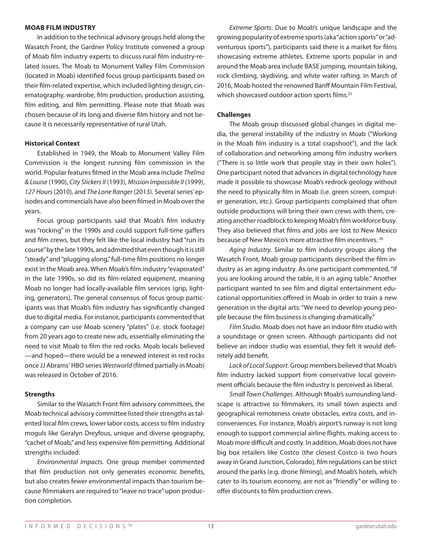#### **MOAB FILM INDUSTRY**

In addition to the technical advisory groups held along the Wasatch Front, the Gardner Policy Institute convened a group of Moab film industry experts to discuss rural film industry-related issues. The Moab to Monument Valley Film Commission (located in Moab) identified focus group participants based on their film-related expertise, which included lighting design, cinematography, wardrobe, film production, production assisting, film editing, and film permitting. Please note that Moab was chosen because of its long and diverse film history and not because it is necessarily representative of rural Utah.

#### **Historical Context**

Established in 1949, the Moab to Monument Valley Film Commission is the longest running film commission in the world. Popular features filmed in the Moab area include *Thelma & Louise* (1990), *City Slickers II* (1993), *Mission Impossible II* (1999), *127 Hours* (2010), and *The Lone Ranger* (2013). Several series' episodes and commercials have also been filmed in Moab over the years.

Focus group participants said that Moab's film industry was "rocking" in the 1990s and could support full-time gaffers and film crews, but they felt like the local industry had "run its course" by the late 1990s, and admitted that even though it is still "steady" and "plugging along," full-time film positions no longer exist in the Moab area. When Moab's film industry "evaporated" in the late 1990s, so did its film-related equipment, meaning Moab no longer had locally-available film services (grip, lighting, generators). The general consensus of focus group participants was that Moab's film industry has significantly changed due to digital media. For instance, participants commented that a company can use Moab scenery "plates" (i.e. stock footage) from 20 years ago to create new ads, essentially eliminating the need to visit Moab to film the red rocks. Moab locals believed —and hoped—there would be a renewed interest in red rocks once JJ Abrams' HBO series *Westworld* (filmed partially in Moab) was released in October of 2016.

#### **Strengths**

Similar to the Wasatch Front film advisory committees, the Moab technical advisory committee listed their strengths as talented local film crews, lower labor costs, access to film industry moguls like Geralyn Dreyfous, unique and diverse geography, "cachet of Moab," and less expensive film permitting. Additional strengths included:

*Environmental Impacts.* One group member commented that film production not only generates economic benefits, but also creates fewer environmental impacts than tourism because filmmakers are required to "leave no trace" upon production completion.

*Extreme Sports*. Due to Moab's unique landscape and the growing popularity of extreme sports (aka "action sports" or "adventurous sports"), participants said there is a market for films showcasing extreme athletes. Extreme sports popular in and around the Moab area include BASE jumping, mountain biking, rock climbing, skydiving, and white water rafting. In March of 2016, Moab hosted the renowned Banff Mountain Film Festival, which showcased outdoor action sports films.<sup>25</sup>

#### **Challenges**

The Moab group discussed global changes in digital media, the general instability of the industry in Moab ("Working in the Moab film industry is a total crapshoot"), and the lack of collaboration and networking among film industry workers ("There is so little work that people stay in their own holes"). One participant noted that advances in digital technology have made it possible to showcase Moab's redrock geology without the need to physically film in Moab (i.e. green screen, computer generation, etc.). Group participants complained that often outside productions will bring their own crews with them, creating another roadblock to keeping Moab's film workforce busy. They also believed that films and jobs are lost to New Mexico because of New Mexico's more attractive film incentives. 26

*Aging Industry.* Similar to film industry groups along the Wasatch Front, Moab group participants described the film industry as an aging industry. As one participant commented, "If you are looking around the table, it is an aging table." Another participant wanted to see film and digital entertainment educational opportunities offered in Moab in order to train a new generation in the digital arts: "We need to develop young people because the film business is changing dramatically."

*Film Studio.* Moab does not have an indoor film studio with a soundstage or green screen. Although participants did not believe an indoor studio was essential, they felt it would definitely add benefit.

*Lack of Local Support*. Group members believed that Moab's film industry lacked support from conservative local government officials because the film industry is perceived as liberal.

*Small Town Challenges*. Although Moab's surrounding landscape is attractive to filmmakers, its small town aspects and geographical remoteness create obstacles, extra costs, and inconveniences. For instance, Moab's airport's runway is not long enough to support commercial airline flights, making access to Moab more difficult and costly. In addition, Moab does not have big box retailers like Costco (the closest Costco is two hours away in Grand Junction, Colorado), film regulations can be strict around the parks (e.g. drone filming), and Moab's hotels, which cater to its tourism economy, are not as "friendly" or willing to offer discounts to film production crews.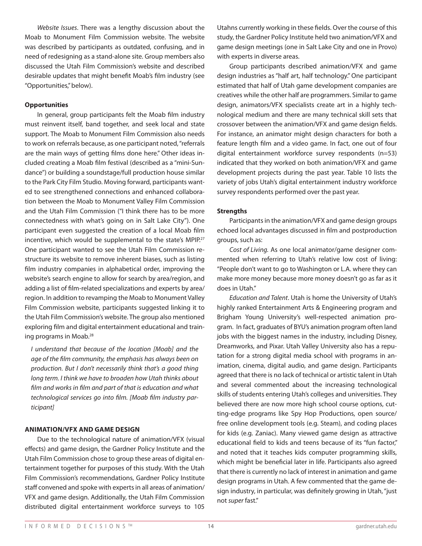*Website Issues*. There was a lengthy discussion about the Moab to Monument Film Commission website. The website was described by participants as outdated, confusing, and in need of redesigning as a stand-alone site. Group members also discussed the Utah Film Commission's website and described desirable updates that might benefit Moab's film industry (see "Opportunities," below).

#### **Opportunities**

In general, group participants felt the Moab film industry must reinvent itself, band together, and seek local and state support. The Moab to Monument Film Commission also needs to work on referrals because, as one participant noted, "referrals are the main ways of getting films done here." Other ideas included creating a Moab film festival (described as a "mini-Sundance") or building a soundstage/full production house similar to the Park City Film Studio. Moving forward, participants wanted to see strengthened connections and enhanced collaboration between the Moab to Monument Valley Film Commission and the Utah Film Commission ("I think there has to be more connectedness with what's going on in Salt Lake City"). One participant even suggested the creation of a local Moab film incentive, which would be supplemental to the state's MPIP.27 One participant wanted to see the Utah Film Commission restructure its website to remove inherent biases, such as listing film industry companies in alphabetical order, improving the website's search engine to allow for search by area/region, and adding a list of film-related specializations and experts by area/ region. In addition to revamping the Moab to Monument Valley Film Commission website, participants suggested linking it to the Utah Film Commission's website. The group also mentioned exploring film and digital entertainment educational and training programs in Moab.28

*I understand that because of the location [Moab] and the age of the film community, the emphasis has always been on production. But I don't necessarily think that's a good thing long term. I think we have to broaden how Utah thinks about film and works in film and part of that is education and what technological services go into film. [Moab film industry participant]* 

# **ANIMATION/VFX AND GAME DESIGN**

Due to the technological nature of animation/VFX (visual effects) and game design, the Gardner Policy Institute and the Utah Film Commission chose to group these areas of digital entertainment together for purposes of this study. With the Utah Film Commission's recommendations, Gardner Policy Institute staff convened and spoke with experts in all areas of animation/ VFX and game design. Additionally, the Utah Film Commission distributed digital entertainment workforce surveys to 105

Utahns currently working in these fields. Over the course of this study, the Gardner Policy Institute held two animation/VFX and game design meetings (one in Salt Lake City and one in Provo) with experts in diverse areas.

Group participants described animation/VFX and game design industries as "half art, half technology." One participant estimated that half of Utah game development companies are creatives while the other half are programmers. Similar to game design, animators/VFX specialists create art in a highly technological medium and there are many technical skill sets that crossover between the animation/VFX and game design fields. For instance, an animator might design characters for both a feature length film and a video game. In fact, one out of four digital entertainment workforce survey respondents (n=53) indicated that they worked on both animation/VFX and game development projects during the past year. Table 10 lists the variety of jobs Utah's digital entertainment industry workforce survey respondents performed over the past year.

# **Strengths**

Participants in the animation/VFX and game design groups echoed local advantages discussed in film and postproduction groups, such as:

*Cost of Living.* As one local animator/game designer commented when referring to Utah's relative low cost of living: "People don't want to go to Washington or L.A. where they can make more money because more money doesn't go as far as it does in Utah."

*Education and Talent*. Utah is home the University of Utah's highly ranked Entertainment Arts & Engineering program and Brigham Young University's well-respected animation program. In fact, graduates of BYU's animation program often land jobs with the biggest names in the industry, including Disney, Dreamworks, and Pixar. Utah Valley University also has a reputation for a strong digital media school with programs in animation, cinema, digital audio, and game design. Participants agreed that there is no lack of technical or artistic talent in Utah and several commented about the increasing technological skills of students entering Utah's colleges and universities. They believed there are now more high school course options, cutting-edge programs like Spy Hop Productions, open source/ free online development tools (e.g. Steam), and coding places for kids (e.g. Zaniac). Many viewed game design as attractive educational field to kids and teens because of its "fun factor," and noted that it teaches kids computer programming skills, which might be beneficial later in life. Participants also agreed that there is currently no lack of interest in animation and game design programs in Utah. A few commented that the game design industry, in particular, was definitely growing in Utah, "just not *super* fast."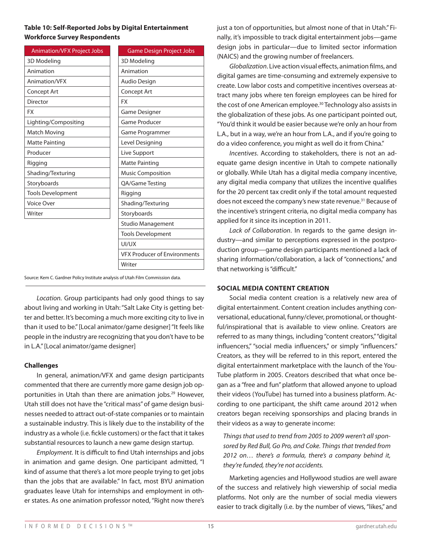# **Table 10: Self-Reported Jobs by Digital Entertainment Workforce Survey Respondents**

| <b>Animation/VFX Project Jobs</b> | <b>Game Design Project Jobs</b>     |
|-----------------------------------|-------------------------------------|
| 3D Modeling                       | 3D Modeling                         |
| Animation                         | Animation                           |
| Animation/VFX                     | Audio Design                        |
| Concept Art                       | Concept Art                         |
| Director                          | <b>FX</b>                           |
| <b>FX</b>                         | <b>Game Designer</b>                |
| Lighting/Compositing              | Game Producer                       |
| <b>Match Moving</b>               | Game Programmer                     |
| <b>Matte Painting</b>             | Level Designing                     |
| Producer                          | Live Support                        |
| Rigging                           | <b>Matte Painting</b>               |
| Shading/Texturing                 | <b>Music Composition</b>            |
| Storyboards                       | QA/Game Testing                     |
| <b>Tools Development</b>          | Rigging                             |
| <b>Voice Over</b>                 | Shading/Texturing                   |
| Writer                            | Storyboards                         |
|                                   | <b>Studio Management</b>            |
|                                   | <b>Tools Development</b>            |
|                                   | UI/UX                               |
|                                   | <b>VFX Producer of Environments</b> |

Source: Kem C. Gardner Policy Institute analysis of Utah Film Commission data.

*Location.* Group participants had only good things to say about living and working in Utah: "Salt Lake City is getting better and better. It's becoming a much more exciting city to live in than it used to be." [Local animator/game designer] "It feels like people in the industry are recognizing that you don't have to be in L.A." [Local animator/game designer]

Writer

#### **Challenges**

In general, animation/VFX and game design participants commented that there are currently more game design job opportunities in Utah than there are animation jobs.<sup>29</sup> However, Utah still does not have the "critical mass" of game design businesses needed to attract out-of-state companies or to maintain a sustainable industry. This is likely due to the instability of the industry as a whole (i.e. fickle customers) or the fact that it takes substantial resources to launch a new game design startup.

*Employment.* It is difficult to find Utah internships and jobs in animation and game design. One participant admitted, "I kind of assume that there's a lot more people trying to get jobs than the jobs that are available." In fact, most BYU animation graduates leave Utah for internships and employment in other states. As one animation professor noted, "Right now there's just a ton of opportunities, but almost none of that in Utah." Finally, it's impossible to track digital entertainment jobs—game design jobs in particular—due to limited sector information (NAICS) and the growing number of freelancers.

*Globalization*. Live action visual effects, animation films, and digital games are time-consuming and extremely expensive to create. Low labor costs and competitive incentives overseas attract many jobs where ten foreign employees can be hired for the cost of one American employee.<sup>30</sup> Technology also assists in the globalization of these jobs. As one participant pointed out, "You'd think it would be easier because we're only an hour from L.A., but in a way, we're an hour from L.A., and if you're going to do a video conference, you might as well do it from China."

*Incentives*. According to stakeholders, there is not an adequate game design incentive in Utah to compete nationally or globally. While Utah has a digital media company incentive, any digital media company that utilizes the incentive qualifies for the 20 percent tax credit only if the total amount requested does not exceed the company's new state revenue.<sup>31</sup> Because of the incentive's stringent criteria, no digital media company has applied for it since its inception in 2011.

*Lack of Collaboration*. In regards to the game design industry—and similar to perceptions expressed in the postproduction group—game design participants mentioned a lack of sharing information/collaboration, a lack of "connections," and that networking is "difficult."

#### **SOCIAL MEDIA CONTENT CREATION**

Social media content creation is a relatively new area of digital entertainment. Content creation includes anything conversational, educational, funny/clever, promotional, or thoughtful/inspirational that is available to view online. Creators are referred to as many things, including "content creators," "digital influencers," "social media influencers," or simply "influencers." Creators, as they will be referred to in this report, entered the digital entertainment marketplace with the launch of the You-Tube platform in 2005. Creators described that what once began as a "free and fun" platform that allowed anyone to upload their videos (YouTube) has turned into a business platform. According to one participant, the shift came around 2012 when creators began receiving sponsorships and placing brands in their videos as a way to generate income:

*Things that used to trend from 2005 to 2009 weren't all sponsored by Red Bull, Go Pro, and Coke. Things that trended from 2012 on… there's a formula, there's a company behind it, they're funded, they're not accidents.* 

Marketing agencies and Hollywood studios are well aware of the success and relatively high viewership of social media platforms. Not only are the number of social media viewers easier to track digitally (i.e. by the number of views, "likes," and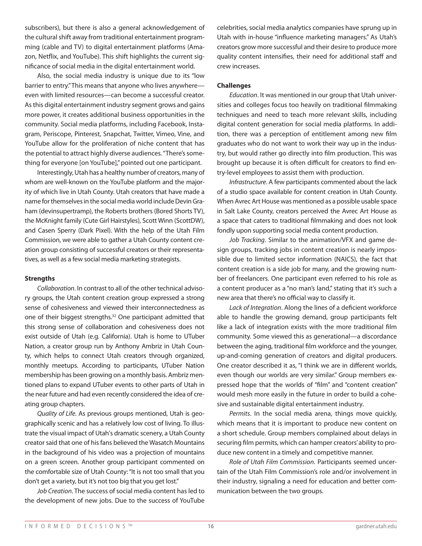subscribers), but there is also a general acknowledgement of the cultural shift away from traditional entertainment programming (cable and TV) to digital entertainment platforms (Amazon, Netflix, and YouTube). This shift highlights the current significance of social media in the digital entertainment world.

Also, the social media industry is unique due to its "low barrier to entry." This means that anyone who lives anywhere even with limited resources—can become a successful creator. As this digital entertainment industry segment grows and gains more power, it creates additional business opportunities in the community. Social media platforms, including Facebook, Instagram, Periscope, Pinterest, Snapchat, Twitter, Vimeo, Vine, and YouTube allow for the proliferation of niche content that has the potential to attract highly diverse audiences. "There's something for everyone [on YouTube]," pointed out one participant.

Interestingly, Utah has a healthy number of creators, many of whom are well-known on the YouTube platform and the majority of which live in Utah County. Utah creators that have made a name for themselves in the social media world include Devin Graham (devinsupertramp), the Roberts brothers (Bored Shorts TV), the McKnight family (Cute Girl Hairstyles), Scott Winn (ScottDW), and Casen Sperry (Dark Pixel). With the help of the Utah Film Commission, we were able to gather a Utah County content creation group consisting of successful creators or their representatives, as well as a few social media marketing strategists.

#### **Strengths**

*Collaboration*. In contrast to all of the other technical advisory groups, the Utah content creation group expressed a strong sense of cohesiveness and viewed their interconnectedness as one of their biggest strengths.32 One participant admitted that this strong sense of collaboration and cohesiveness does not exist outside of Utah (e.g. California). Utah is home to UTuber Nation, a creator group run by Anthony Ambriz in Utah County, which helps to connect Utah creators through organized, monthly meetups. According to participants, UTuber Nation membership has been growing on a monthly basis. Ambriz mentioned plans to expand UTuber events to other parts of Utah in the near future and had even recently considered the idea of creating group chapters.

*Quality of Life*. As previous groups mentioned, Utah is geographically scenic and has a relatively low cost of living. To illustrate the visual impact of Utah's dramatic scenery, a Utah County creator said that one of his fans believed the Wasatch Mountains in the background of his video was a projection of mountains on a green screen. Another group participant commented on the comfortable size of Utah County: "It is not too small that you don't get a variety, but it's not too big that you get lost."

*Job Creation*. The success of social media content has led to the development of new jobs. Due to the success of YouTube

celebrities, social media analytics companies have sprung up in Utah with in-house "influence marketing managers." As Utah's creators grow more successful and their desire to produce more quality content intensifies, their need for additional staff and crew increases.

#### **Challenges**

*Education*. It was mentioned in our group that Utah universities and colleges focus too heavily on traditional filmmaking techniques and need to teach more relevant skills, including digital content generation for social media platforms. In addition, there was a perception of entitlement among new film graduates who do not want to work their way up in the industry, but would rather go directly into film production. This was brought up because it is often difficult for creators to find entry-level employees to assist them with production.

*Infrastructure*. A few participants commented about the lack of a studio space available for content creation in Utah County. When Avrec Art House was mentioned as a possible usable space in Salt Lake County, creators perceived the Avrec Art House as a space that caters to traditional filmmaking and does not look fondly upon supporting social media content production.

*Job Tracking*. Similar to the animation/VFX and game design groups, tracking jobs in content creation is nearly impossible due to limited sector information (NAICS), the fact that content creation is a side job for many, and the growing number of freelancers. One participant even referred to his role as a content producer as a "no man's land," stating that it's such a new area that there's no official way to classify it.

*Lack of Integration*. Along the lines of a deficient workforce able to handle the growing demand, group participants felt like a lack of integration exists with the more traditional film community. Some viewed this as generational—a discordance between the aging, traditional film workforce and the younger, up-and-coming generation of creators and digital producers. One creator described it as, "I think we are in different worlds, even though our worlds are very similar." Group members expressed hope that the worlds of "film" and "content creation" would mesh more easily in the future in order to build a cohesive and sustainable digital entertainment industry.

*Permits*. In the social media arena, things move quickly, which means that it is important to produce new content on a short schedule. Group members complained about delays in securing film permits, which can hamper creators' ability to produce new content in a timely and competitive manner.

*Role of Utah Film Commission*. Participants seemed uncertain of the Utah Film Commission's role and/or involvement in their industry, signaling a need for education and better communication between the two groups.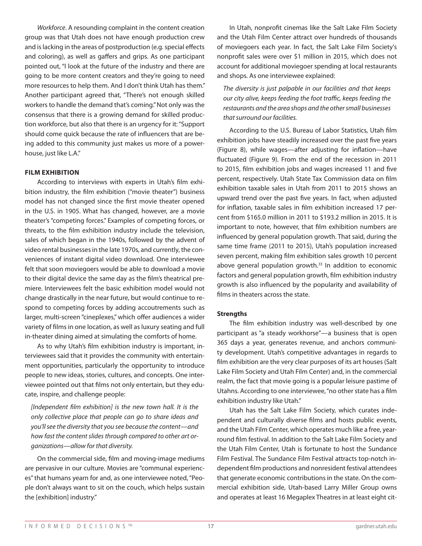*Workforce*. A resounding complaint in the content creation group was that Utah does not have enough production crew and is lacking in the areas of postproduction (e.g. special effects and coloring), as well as gaffers and grips. As one participant pointed out, "I look at the future of the industry and there are going to be more content creators and they're going to need more resources to help them. And I don't think Utah has them." Another participant agreed that, "There's not enough skilled workers to handle the demand that's coming." Not only was the consensus that there is a growing demand for skilled production workforce, but also that there is an urgency for it: "Support should come quick because the rate of influencers that are being added to this community just makes us more of a powerhouse, just like L.A."

#### **FILM EXHIBITION**

According to interviews with experts in Utah's film exhibition industry, the film exhibition ("movie theater") business model has not changed since the first movie theater opened in the U.S. in 1905. What has changed, however, are a movie theater's "competing forces." Examples of competing forces, or threats, to the film exhibition industry include the television, sales of which began in the 1940s, followed by the advent of video rental businesses in the late 1970s, and currently, the conveniences of instant digital video download. One interviewee felt that soon moviegoers would be able to download a movie to their digital device the same day as the film's theatrical premiere. Interviewees felt the basic exhibition model would not change drastically in the near future, but would continue to respond to competing forces by adding accoutrements such as larger, multi-screen "cineplexes," which offer audiences a wider variety of films in one location, as well as luxury seating and full in-theater dining aimed at simulating the comforts of home.

As to why Utah's film exhibition industry is important, interviewees said that it provides the community with entertainment opportunities, particularly the opportunity to introduce people to new ideas, stories, cultures, and concepts. One interviewee pointed out that films not only entertain, but they educate, inspire, and challenge people:

*[Independent film exhibition] is the new town hall. It is the only collective place that people can go to share ideas and you'll see the diversity that you see because the content—and how fast the content slides through compared to other art organizations—allow for that diversity.* 

On the commercial side, film and moving-image mediums are pervasive in our culture. Movies are "communal experiences" that humans yearn for and, as one interviewee noted, "People don't always want to sit on the couch, which helps sustain the [exhibition] industry."

In Utah, nonprofit cinemas like the Salt Lake Film Society and the Utah Film Center attract over hundreds of thousands of moviegoers each year. In fact, the Salt Lake Film Society's nonprofit sales were over \$1 million in 2015, which does not account for additional moviegoer spending at local restaurants and shops. As one interviewee explained:

*The diversity is just palpable in our facilities and that keeps our city alive, keeps feeding the foot traffic, keeps feeding the restaurants and the area shops and the other small businesses that surround our facilities.* 

According to the U.S. Bureau of Labor Statistics, Utah film exhibition jobs have steadily increased over the past five years (Figure 8), while wages—after adjusting for inflation—have fluctuated (Figure 9). From the end of the recession in 2011 to 2015, film exhibition jobs and wages increased 11 and five percent, respectively. Utah State Tax Commission data on film exhibition taxable sales in Utah from 2011 to 2015 shows an upward trend over the past five years. In fact, when adjusted for inflation, taxable sales in film exhibition increased 17 percent from \$165.0 million in 2011 to \$193.2 million in 2015. It is important to note, however, that film exhibition numbers are influenced by general population growth. That said, during the same time frame (2011 to 2015), Utah's population increased seven percent, making film exhibition sales growth 10 percent above general population growth.<sup>33</sup> In addition to economic factors and general population growth, film exhibition industry growth is also influenced by the popularity and availability of films in theaters across the state.

#### **Strengths**

The film exhibition industry was well-described by one participant as "a steady workhorse"—a business that is open 365 days a year, generates revenue, and anchors community development. Utah's competitive advantages in regards to film exhibition are the very clear purposes of its art houses (Salt Lake Film Society and Utah Film Center) and, in the commercial realm, the fact that movie going is a popular leisure pastime of Utahns. According to one interviewee, "no other state has a film exhibition industry like Utah."

Utah has the Salt Lake Film Society, which curates independent and culturally diverse films and hosts public events, and the Utah Film Center, which operates much like a free, yearround film festival. In addition to the Salt Lake Film Society and the Utah Film Center, Utah is fortunate to host the Sundance Film Festival. The Sundance Film Festival attracts top-notch independent film productions and nonresident festival attendees that generate economic contributions in the state. On the commercial exhibition side, Utah-based Larry Miller Group owns and operates at least 16 Megaplex Theatres in at least eight cit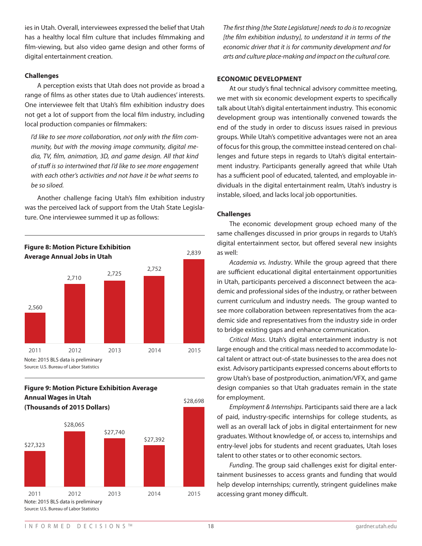ies in Utah. Overall, interviewees expressed the belief that Utah has a healthy local film culture that includes filmmaking and film-viewing, but also video game design and other forms of digital entertainment creation.

# **Challenges**

A perception exists that Utah does not provide as broad a range of films as other states due to Utah audiences' interests. One interviewee felt that Utah's film exhibition industry does not get a lot of support from the local film industry, including local production companies or filmmakers:

*I'd like to see more collaboration, not only with the film community, but with the moving image community, digital media, TV, film, animation, 3D, and game design. All that kind of stuff is so intertwined that I'd like to see more engagement with each other's activities and not have it be what seems to be so siloed.* 

Another challenge facing Utah's film exhibition industry was the perceived lack of support from the Utah State Legislature. One interviewee summed it up as follows:



# **Figure 9: Motion Picture Exhibition Average Annual Wages in Utah (Thousands of 2015 Dollars)**



*The first thing [the State Legislature] needs to do is to recognize [the film exhibition industry], to understand it in terms of the economic driver that it is for community development and for arts and culture place-making and impact on the cultural core.* 

# **ECONOMIC DEVELOPMENT**

At our study's final technical advisory committee meeting, we met with six economic development experts to specifically talk about Utah's digital entertainment industry. This economic development group was intentionally convened towards the end of the study in order to discuss issues raised in previous groups. While Utah's competitive advantages were not an area of focus for this group, the committee instead centered on challenges and future steps in regards to Utah's digital entertainment industry. Participants generally agreed that while Utah has a sufficient pool of educated, talented, and employable individuals in the digital entertainment realm, Utah's industry is instable, siloed, and lacks local job opportunities.

# **Challenges**

The economic development group echoed many of the same challenges discussed in prior groups in regards to Utah's digital entertainment sector, but offered several new insights as well:

*Academia vs. Industry*. While the group agreed that there are sufficient educational digital entertainment opportunities in Utah, participants perceived a disconnect between the academic and professional sides of the industry, or rather between current curriculum and industry needs. The group wanted to see more collaboration between representatives from the academic side and representatives from the industry side in order to bridge existing gaps and enhance communication.

*Critical Mass*. Utah's digital entertainment industry is not large enough and the critical mass needed to accommodate local talent or attract out-of-state businesses to the area does not exist. Advisory participants expressed concerns about efforts to grow Utah's base of postproduction, animation/VFX, and game design companies so that Utah graduates remain in the state for employment.

*Employment & Internships*. Participants said there are a lack of paid, industry-specific internships for college students, as well as an overall lack of jobs in digital entertainment for new graduates. Without knowledge of, or access to, internships and entry-level jobs for students and recent graduates, Utah loses talent to other states or to other economic sectors.

*Funding*. The group said challenges exist for digital entertainment businesses to access grants and funding that would help develop internships; currently, stringent guidelines make accessing grant money difficult.

\$28,698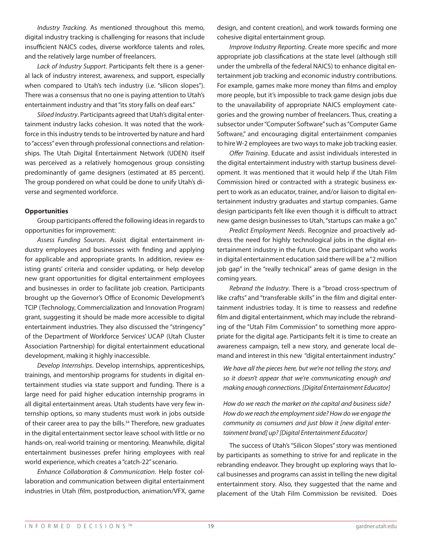*Industry Tracking*. As mentioned throughout this memo, digital industry tracking is challenging for reasons that include insufficient NAICS codes, diverse workforce talents and roles, and the relatively large number of freelancers.

*Lack of Industry Support*. Participants felt there is a general lack of industry interest, awareness, and support, especially when compared to Utah's tech industry (i.e. "silicon slopes"). There was a consensus that no one is paying attention to Utah's entertainment industry and that "its story falls on deaf ears."

*Siloed Industry*. Participants agreed that Utah's digital entertainment industry lacks cohesion. It was noted that the workforce in this industry tends to be introverted by nature and hard to "access" even through professional connections and relationships. The Utah Digital Entertainment Network (UDEN) itself was perceived as a relatively homogenous group consisting predominantly of game designers (estimated at 85 percent). The group pondered on what could be done to unify Utah's diverse and segmented workforce.

#### **Opportunities**

Group participants offered the following ideas in regards to opportunities for improvement:

*Assess Funding Sources*. Assist digital entertainment industry employees and businesses with finding and applying for applicable and appropriate grants. In addition, review existing grants' criteria and consider updating, or help develop new grant opportunities for digital entertainment employees and businesses in order to facilitate job creation. Participants brought up the Governor's Office of Economic Development's TCIP (Technology, Commercialization and Innovation Program) grant, suggesting it should be made more accessible to digital entertainment industries. They also discussed the "stringency" of the Department of Workforce Services' UCAP (Utah Cluster Association Partnership) for digital entertainment educational development, making it highly inaccessible.

*Develop Internships*. Develop internships, apprenticeships, trainings, and mentorship programs for students in digital entertainment studies via state support and funding. There is a large need for paid higher education internship programs in all digital entertainment areas. Utah students have very few internship options, so many students must work in jobs outside of their career area to pay the bills.<sup>34</sup> Therefore, new graduates in the digital entertainment sector leave school with little or no hands-on, real-world training or mentoring. Meanwhile, digital entertainment businesses prefer hiring employees with real world experience, which creates a "catch-22" scenario.

*Enhance Collaboration & Communication*. Help foster collaboration and communication between digital entertainment industries in Utah (film, postproduction, animation/VFX, game design, and content creation), and work towards forming one cohesive digital entertainment group.

*Improve Industry Reporting*. Create more specific and more appropriate job classifications at the state level (although still under the umbrella of the federal NAICS) to enhance digital entertainment job tracking and economic industry contributions. For example, games make more money than films and employ more people, but it's impossible to track game design jobs due to the unavailability of appropriate NAICS employment categories and the growing number of freelancers. Thus, creating a subsector under "Computer Software" such as "Computer Game Software," and encouraging digital entertainment companies to hire W-2 employees are two ways to make job tracking easier.

*Offer Training*. Educate and assist individuals interested in the digital entertainment industry with startup business development. It was mentioned that it would help if the Utah Film Commission hired or contracted with a strategic business expert to work as an educator, trainer, and/or liaison to digital entertainment industry graduates and startup companies. Game design participants felt like even though it is difficult to attract new game design businesses to Utah, "startups can make a go."

*Predict Employment Needs*. Recognize and proactively address the need for highly technological jobs in the digital entertainment industry in the future. One participant who works in digital entertainment education said there will be a "2 million job gap" in the "really technical" areas of game design in the coming years.

*Rebrand the Industry*. There is a "broad cross-spectrum of like crafts" and "transferable skills" in the film and digital entertainment industries today. It is time to reassess and redefine film and digital entertainment, which may include the rebranding of the "Utah Film Commission" to something more appropriate for the digital age. Participants felt it is time to create an awareness campaign, tell a new story, and generate local demand and interest in this new "digital entertainment industry."

*We have all the pieces here, but we're not telling the story, and so it doesn't appear that we're communicating enough and making enough connections. [Digital Entertainment Educator]*

*How do we reach the market on the capital and business side? How do we reach the employment side? How do we engage the community as consumers and just blow it [new digital entertainment brand] up? [Digital Entertainment Educator]* 

The success of Utah's "Silicon Slopes" story was mentioned by participants as something to strive for and replicate in the rebranding endeavor. They brought up exploring ways that local businesses and programs can assist in telling the new digital entertainment story. Also, they suggested that the name and placement of the Utah Film Commission be revisited. Does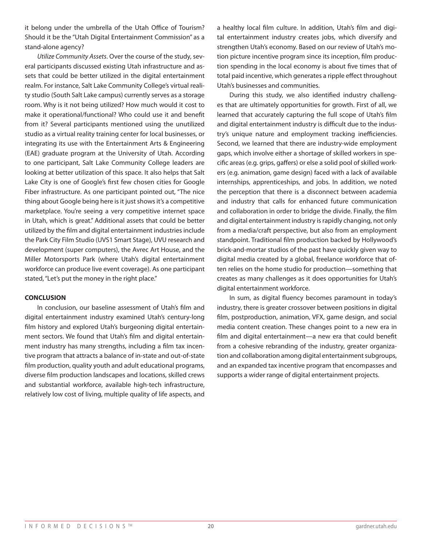it belong under the umbrella of the Utah Office of Tourism? Should it be the "Utah Digital Entertainment Commission" as a stand-alone agency?

*Utilize Community Assets*. Over the course of the study, several participants discussed existing Utah infrastructure and assets that could be better utilized in the digital entertainment realm. For instance, Salt Lake Community College's virtual reality studio (South Salt Lake campus) currently serves as a storage room. Why is it not being utilized? How much would it cost to make it operational/functional? Who could use it and benefit from it? Several participants mentioned using the unutilized studio as a virtual reality training center for local businesses, or integrating its use with the Entertainment Arts & Engineering (EAE) graduate program at the University of Utah. According to one participant, Salt Lake Community College leaders are looking at better utilization of this space. It also helps that Salt Lake City is one of Google's first few chosen cities for Google Fiber infrastructure. As one participant pointed out, "The nice thing about Google being here is it just shows it's a competitive marketplace. You're seeing a very competitive internet space in Utah, which is great." Additional assets that could be better utilized by the film and digital entertainment industries include the Park City Film Studio (UVS1 Smart Stage), UVU research and development (super computers), the Avrec Art House, and the Miller Motorsports Park (where Utah's digital entertainment workforce can produce live event coverage). As one participant stated, "Let's put the money in the right place."

#### **CONCLUSION**

In conclusion, our baseline assessment of Utah's film and digital entertainment industry examined Utah's century-long film history and explored Utah's burgeoning digital entertainment sectors. We found that Utah's film and digital entertainment industry has many strengths, including a film tax incentive program that attracts a balance of in-state and out-of-state film production, quality youth and adult educational programs, diverse film production landscapes and locations, skilled crews and substantial workforce, available high-tech infrastructure, relatively low cost of living, multiple quality of life aspects, and a healthy local film culture. In addition, Utah's film and digital entertainment industry creates jobs, which diversify and strengthen Utah's economy. Based on our review of Utah's motion picture incentive program since its inception, film production spending in the local economy is about five times that of total paid incentive, which generates a ripple effect throughout Utah's businesses and communities.

During this study, we also identified industry challenges that are ultimately opportunities for growth. First of all, we learned that accurately capturing the full scope of Utah's film and digital entertainment industry is difficult due to the industry's unique nature and employment tracking inefficiencies. Second, we learned that there are industry-wide employment gaps, which involve either a shortage of skilled workers in specific areas (e.g. grips, gaffers) or else a solid pool of skilled workers (e.g. animation, game design) faced with a lack of available internships, apprenticeships, and jobs. In addition, we noted the perception that there is a disconnect between academia and industry that calls for enhanced future communication and collaboration in order to bridge the divide. Finally, the film and digital entertainment industry is rapidly changing, not only from a media/craft perspective, but also from an employment standpoint. Traditional film production backed by Hollywood's brick-and-mortar studios of the past have quickly given way to digital media created by a global, freelance workforce that often relies on the home studio for production—something that creates as many challenges as it does opportunities for Utah's digital entertainment workforce.

In sum, as digital fluency becomes paramount in today's industry, there is greater crossover between positions in digital film, postproduction, animation, VFX, game design, and social media content creation. These changes point to a new era in film and digital entertainment—a new era that could benefit from a cohesive rebranding of the industry, greater organization and collaboration among digital entertainment subgroups, and an expanded tax incentive program that encompasses and supports a wider range of digital entertainment projects.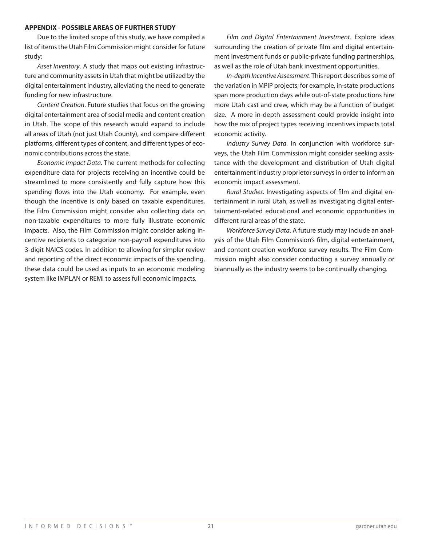#### **APPENDIX - POSSIBLE AREAS OF FURTHER STUDY**

Due to the limited scope of this study, we have compiled a list of items the Utah Film Commission might consider for future study:

*Asset Inventory*. A study that maps out existing infrastructure and community assets in Utah that might be utilized by the digital entertainment industry, alleviating the need to generate funding for new infrastructure.

*Content Creation*. Future studies that focus on the growing digital entertainment area of social media and content creation in Utah. The scope of this research would expand to include all areas of Utah (not just Utah County), and compare different platforms, different types of content, and different types of economic contributions across the state.

*Economic Impact Data*. The current methods for collecting expenditure data for projects receiving an incentive could be streamlined to more consistently and fully capture how this spending flows into the Utah economy. For example, even though the incentive is only based on taxable expenditures, the Film Commission might consider also collecting data on non-taxable expenditures to more fully illustrate economic impacts. Also, the Film Commission might consider asking incentive recipients to categorize non-payroll expenditures into 3-digit NAICS codes. In addition to allowing for simpler review and reporting of the direct economic impacts of the spending, these data could be used as inputs to an economic modeling system like IMPLAN or REMI to assess full economic impacts.

*Film and Digital Entertainment Investment*. Explore ideas surrounding the creation of private film and digital entertainment investment funds or public-private funding partnerships, as well as the role of Utah bank investment opportunities.

*In-depth Incentive Assessment*. This report describes some of the variation in MPIP projects; for example, in-state productions span more production days while out-of-state productions hire more Utah cast and crew, which may be a function of budget size. A more in-depth assessment could provide insight into how the mix of project types receiving incentives impacts total economic activity.

*Industry Survey Data*. In conjunction with workforce surveys, the Utah Film Commission might consider seeking assistance with the development and distribution of Utah digital entertainment industry proprietor surveys in order to inform an economic impact assessment.

*Rural Studies*. Investigating aspects of film and digital entertainment in rural Utah, as well as investigating digital entertainment-related educational and economic opportunities in different rural areas of the state.

*Workforce Survey Data*. A future study may include an analysis of the Utah Film Commission's film, digital entertainment, and content creation workforce survey results. The Film Commission might also consider conducting a survey annually or biannually as the industry seems to be continually changing.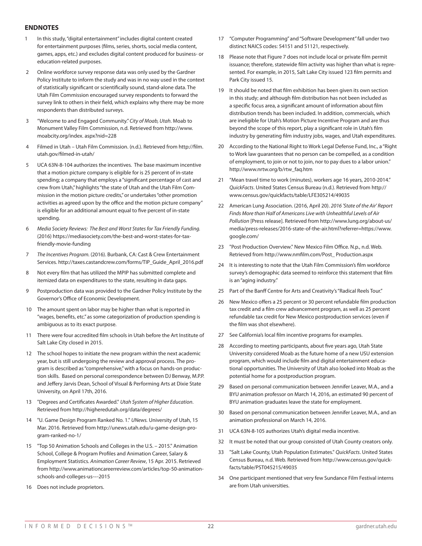#### **ENDNOTES**

- 1 In this study, "digital entertainment" includes digital content created for entertainment purposes (films, series, shorts, social media content, games, apps, etc.) and excludes digital content produced for business- or education-related purposes.
- 2 Online workforce survey response data was only used by the Gardner Policy Institute to inform the study and was in no way used in the context of statistically significant or scientifically sound, stand-alone data. The Utah Film Commission encouraged survey respondents to forward the survey link to others in their field, which explains why there may be more respondents than distributed surveys.
- 3 "Welcome to and Engaged Community." *City of Moab, Utah*. Moab to Monument Valley Film Commission, n.d. Retrieved from http://www. moabcity.org/index. aspx?nid=228
- 4 Filmed in Utah Utah Film Commission. (n.d.). Retrieved from http://film. utah.gov/filmed-in-utah/
- 5 UCA 63N-8-104 authorizes the incentives. The base maximum incentive that a motion picture company is eligible for is 25 percent of in-state spending; a company that employs a "significant percentage of cast and crew from Utah," highlights "the state of Utah and the Utah Film Commission in the motion picture credits," or undertakes "other promotion activities as agreed upon by the office and the motion picture company" is eligible for an additional amount equal to five percent of in-state spending.
- 6 *Media Society Reviews: The Best and Worst States for Tax Friendly Funding.* (2016) https://mediasociety.com/the-best-and-worst-states-for-taxfriendly-movie-funding
- 7 *The Incentives Program.* (2016). Burbank, CA: Cast & Crew Entertainment Services. http://taxes.castandcrew.com/forms/TIP\_Guide\_April\_2016.pdf
- 8 Not every film that has utilized the MPIP has submitted complete and itemized data on expenditures to the state, resulting in data gaps.
- 9 Postproduction data was provided to the Gardner Policy Institute by the Governor's Office of Economic Development.
- 10 The amount spent on labor may be higher than what is reported in "wages, benefits, etc." as some categorization of production spending is ambiguous as to its exact purpose.
- 11 There were four accredited film schools in Utah before the Art Institute of Salt Lake City closed in 2015.
- 12 The school hopes to initiate the new program within the next academic year, but is still undergoing the review and approval process. The program is described as "comprehensive," with a focus on hands-on production skills. Based on personal correspondence between DJ Benway, M.P.P. and Jeffery Jarvis Dean, School of Visual & Performing Arts at Dixie State University, on April 17th, 2016.
- 13 "Degrees and Certificates Awarded." *Utah System of Higher Education*. Retrieved from http://higheredutah.org/data/degrees/
- 14 "U. Game Design Program Ranked No. 1." *UNews.* University of Utah, 15 Mar. 2016. Retrieved from http://unews.utah.edu/u-game-design-program-ranked-no-1/
- 15 "Top 50 Animation Schools and Colleges in the U.S. 2015." Animation School, College & Program Profiles and Animation Career, Salary & Employment Statistics. *Animation Career Review*, 15 Apr. 2015. Retrieved from http://www.animationcareerreview.com/articles/top-50-animationschools-and-colleges-us-–-2015
- 16 Does not include proprietors.
- 17 "Computer Programming" and "Software Development" fall under two distinct NAICS codes: 54151 and 51121, respectively.
- 18 Please note that Figure 7 does not include local or private film permit issuance; therefore, statewide film activity was higher than what is represented. For example, in 2015, Salt Lake City issued 123 film permits and Park City issued 15.
- 19 It should be noted that film exhibition has been given its own section in this study; and although film distribution has not been included as a specific focus area, a significant amount of information about film distribution trends has been included. In addition, commercials, which are ineligible for Utah's Motion Picture Incentive Program and are thus beyond the scope of this report, play a significant role in Utah's film industry by generating film industry jobs, wages, and Utah expenditures.
- 20 According to the National Right to Work Legal Defense Fund, Inc., a "Right to Work law guarantees that no person can be compelled, as a condition of employment, to join or not to join, nor to pay dues to a labor union." http://www.nrtw.org/b/rtw\_faq.htm
- 21 "Mean travel time to work (minutes), workers age 16 years, 2010-2014." *QuickFacts*. United States Census Bureau (n.d.). Retrieved from http:// www.census.gov/quickfacts/table/LFE305214/49035
- 22 American Lung Association. (2016, April 20). *2016 'State of the Air' Report Finds More than Half of Americans Live with Unhealthful Levels of Air Pollution* [Press release]. Retrieved from http://www.lung.org/about-us/ media/press-releases/2016-state-of-the-air.html?referrer=https://www. google.com/
- 23 "Post Production Overview." New Mexico Film Office. N.p., n.d. Web. Retrieved from http://www.nmfilm.com/Post\_ Production.aspx
- 24 It is interesting to note that the Utah Film Commission's film workforce survey's demographic data seemed to reinforce this statement that film is an "aging industry."
- 25 Part of the Banff Centre for Arts and Creativity's "Radical Reels Tour."
- 26 New Mexico offers a 25 percent or 30 percent refundable film production tax credit and a film crew advancement program, as well as 25 percent refundable tax credit for New Mexico postproduction services (even if the film was shot elsewhere).
- 27 See California's local film incentive programs for examples.
- 28 According to meeting participants, about five years ago, Utah State University considered Moab as the future home of a new USU extension program, which would include film and digital entertainment educational opportunities. The University of Utah also looked into Moab as the potential home for a postproduction program.
- 29 Based on personal communication between Jennifer Leaver, M.A., and a BYU animation professor on March 14, 2016, an estimated 90 percent of BYU animation graduates leave the state for employment.
- 30 Based on personal communication between Jennifer Leaver, M.A., and an animation professional on March 14, 2016.
- 31 UCA 63N-8-105 authorizes Utah's digital media incentive.
- 32 It must be noted that our group consisted of Utah County creators only.
- 33 "Salt Lake County, Utah Population Estimates." *QuickFacts*. United States Census Bureau, n.d. Web. Retrieved from http://www.census.gov/quickfacts/table/PST045215/49035
- 34 One participant mentioned that very few Sundance Film Festival interns are from Utah universities.